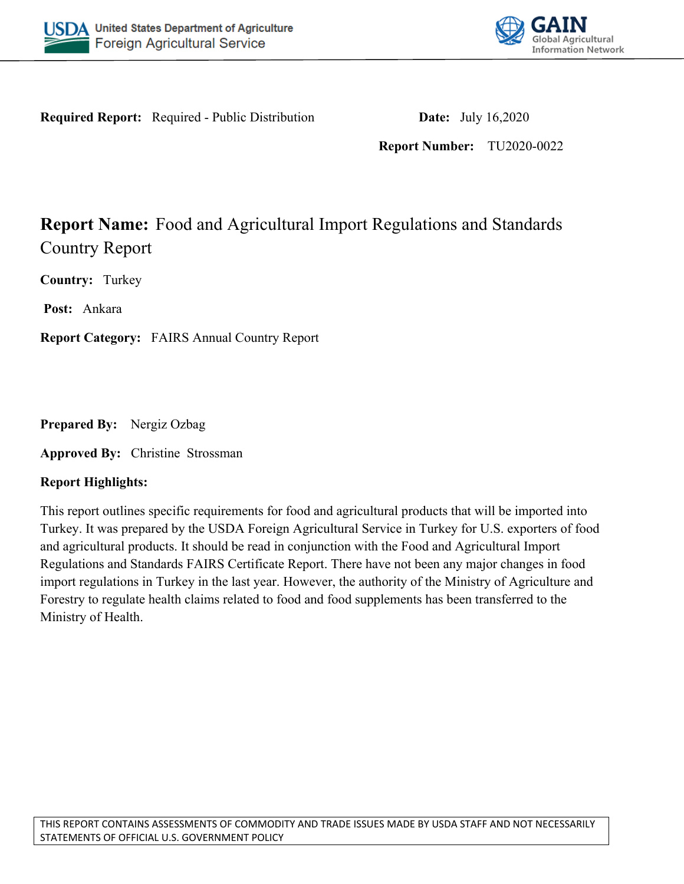



**Required Report:** Required - Public Distribution **Date:** July 16,2020

**Report Number:** TU2020-0022

# **Report Name:** Food and Agricultural Import Regulations and Standards Country Report

**Country:** Turkey

**Post:** Ankara

**Report Category:** FAIRS Annual Country Report

**Prepared By:** Nergiz Ozbag

**Approved By:** Christine Strossman

### **Report Highlights:**

This report outlines specific requirements for food and agricultural products that will be imported into Turkey. It was prepared by the USDA Foreign Agricultural Service in Turkey for U.S. exporters of food and agricultural products. It should be read in conjunction with the Food and Agricultural Import Regulations and Standards FAIRS Certificate Report. There have not been any major changes in food import regulations in Turkey in the last year. However, the authority of the Ministry of Agriculture and Forestry to regulate health claims related to food and food supplements has been transferred to the Ministry of Health.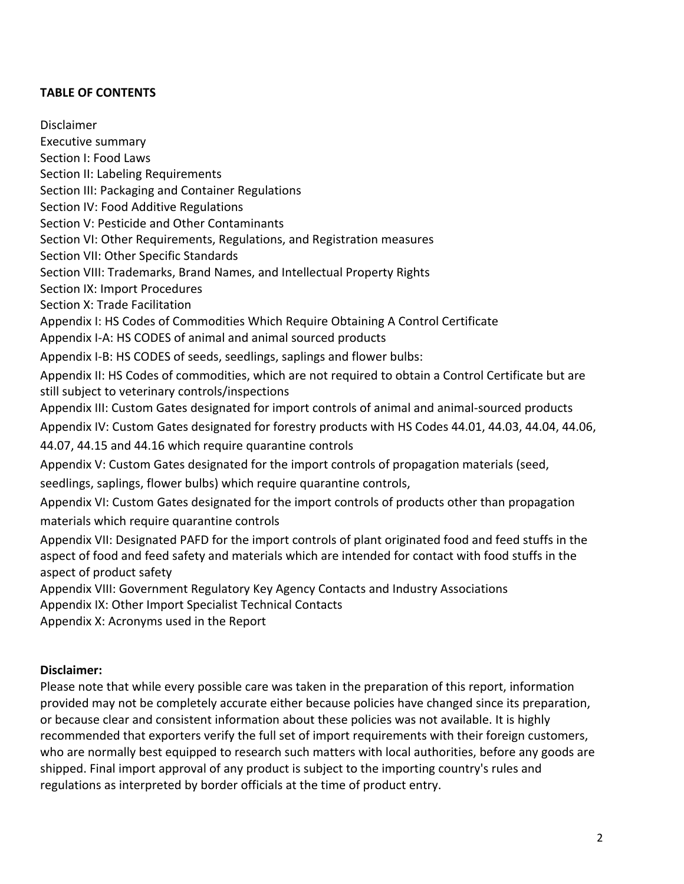### **TABLE OF CONTENTS**

Disclaimer Executive summary Section I: Food Laws Section II: Labeling Requirements Section III: Packaging and Container Regulations Section IV: Food Additive Regulations Section V: Pesticide and Other Contaminants Section VI: Other Requirements, Regulations, and Registration measures Section VII: Other Specific Standards Section VIII: Trademarks, Brand Names, and Intellectual Property Rights Section IX: Import Procedures Section X: Trade Facilitation Appendix I: HS Codes of Commodities Which Require Obtaining A Control Certificate Appendix I-A: HS CODES of animal and animal sourced products Appendix I-B: HS CODES of seeds, seedlings, saplings and flower bulbs: Appendix II: HS Codes of commodities, which are not required to obtain a Control Certificate but are still subject to veterinary controls/inspections Appendix III: Custom Gates designated for import controls of animal and animal-sourced products Appendix IV: Custom Gates designated for forestry products with HS Codes 44.01, 44.03, 44.04, 44.06, 44.07, 44.15 and 44.16 which require quarantine controls Appendix V: Custom Gates designated for the import controls of propagation materials (seed, seedlings, saplings, flower bulbs) which require quarantine controls, Appendix VI: Custom Gates designated for the import controls of products other than propagation materials which require quarantine controls Appendix VII: Designated PAFD for the import controls of plant originated food and feed stuffs in the aspect of food and feed safety and materials which are intended for contact with food stuffs in the aspect of product safety Appendix VIII: Government Regulatory Key Agency Contacts and Industry Associations Appendix IX: Other Import Specialist Technical Contacts

Appendix X: Acronyms used in the Report

#### **Disclaimer:**

Please note that while every possible care was taken in the preparation of this report, information provided may not be completely accurate either because policies have changed since its preparation, or because clear and consistent information about these policies was not available. It is highly recommended that exporters verify the full set of import requirements with their foreign customers, who are normally best equipped to research such matters with local authorities, before any goods are shipped. Final import approval of any product is subject to the importing country's rules and regulations as interpreted by border officials at the time of product entry.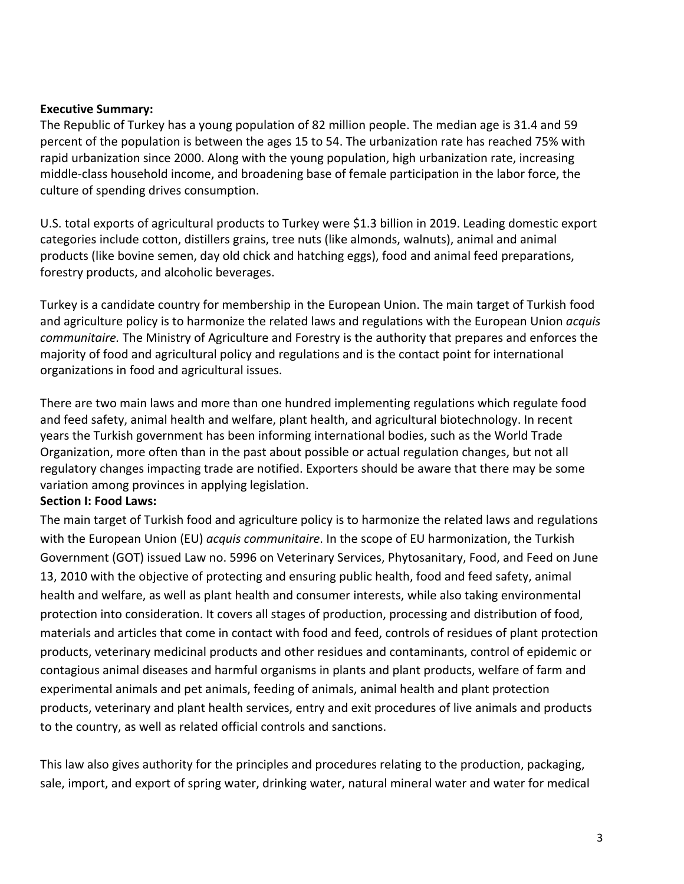#### **Executive Summary:**

The Republic of Turkey has a young population of 82 million people. The median age is 31.4 and 59 percent of the population is between the ages 15 to 54. The urbanization rate has reached 75% with rapid urbanization since 2000. Along with the young population, high urbanization rate, increasing middle-class household income, and broadening base of female participation in the labor force, the culture of spending drives consumption.

U.S. total exports of agricultural products to Turkey were \$1.3 billion in 2019. Leading domestic export categories include cotton, distillers grains, tree nuts (like almonds, walnuts), animal and animal products (like bovine semen, day old chick and hatching eggs), food and animal feed preparations, forestry products, and alcoholic beverages.

Turkey is a candidate country for membership in the European Union. The main target of Turkish food and agriculture policy is to harmonize the related laws and regulations with the European Union *acquis communitaire.* The Ministry of Agriculture and Forestry is the authority that prepares and enforces the majority of food and agricultural policy and regulations and is the contact point for international organizations in food and agricultural issues.

There are two main laws and more than one hundred implementing regulations which regulate food and feed safety, animal health and welfare, plant health, and agricultural biotechnology. In recent years the Turkish government has been informing international bodies, such as the World Trade Organization, more often than in the past about possible or actual regulation changes, but not all regulatory changes impacting trade are notified. Exporters should be aware that there may be some variation among provinces in applying legislation.

#### **Section I: Food Laws:**

The main target of Turkish food and agriculture policy is to harmonize the related laws and regulations with the European Union (EU) *acquis communitaire*. In the scope of EU harmonization, the Turkish Government (GOT) issued Law no. 5996 on Veterinary Services, Phytosanitary, Food, and Feed on June 13, 2010 with the objective of protecting and ensuring public health, food and feed safety, animal health and welfare, as well as plant health and consumer interests, while also taking environmental protection into consideration. It covers all stages of production, processing and distribution of food, materials and articles that come in contact with food and feed, controls of residues of plant protection products, veterinary medicinal products and other residues and contaminants, control of epidemic or contagious animal diseases and harmful organisms in plants and plant products, welfare of farm and experimental animals and pet animals, feeding of animals, animal health and plant protection products, veterinary and plant health services, entry and exit procedures of live animals and products to the country, as well as related official controls and sanctions.

This law also gives authority for the principles and procedures relating to the production, packaging, sale, import, and export of spring water, drinking water, natural mineral water and water for medical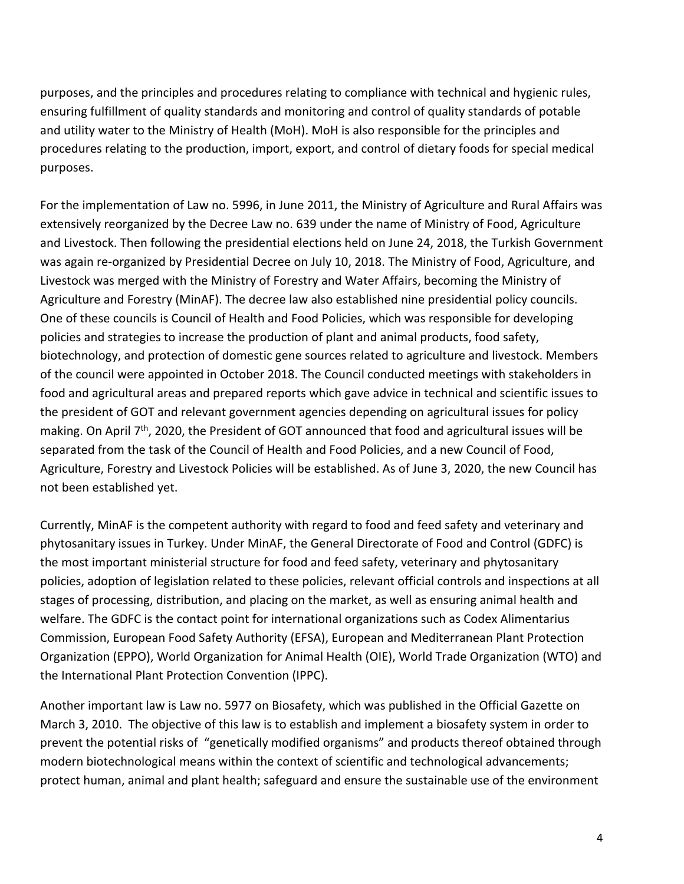purposes, and the principles and procedures relating to compliance with technical and hygienic rules, ensuring fulfillment of quality standards and monitoring and control of quality standards of potable and utility water to the Ministry of Health (MoH). MoH is also responsible for the principles and procedures relating to the production, import, export, and control of dietary foods for special medical purposes.

For the implementation of Law no. 5996, in June 2011, the Ministry of Agriculture and Rural Affairs was extensively reorganized by the Decree Law no. 639 under the name of Ministry of Food, Agriculture and Livestock. Then following the presidential elections held on June 24, 2018, the Turkish Government was again re-organized by Presidential Decree on July 10, 2018. The Ministry of Food, Agriculture, and Livestock was merged with the Ministry of Forestry and Water Affairs, becoming the Ministry of Agriculture and Forestry (MinAF). The decree law also established nine presidential policy councils. One of these councils is Council of Health and Food Policies, which was responsible for developing policies and strategies to increase the production of plant and animal products, food safety, biotechnology, and protection of domestic gene sources related to agriculture and livestock. Members of the council were appointed in October 2018. The Council conducted meetings with stakeholders in food and agricultural areas and prepared reports which gave advice in technical and scientific issues to the president of GOT and relevant government agencies depending on agricultural issues for policy making. On April  $7<sup>th</sup>$ , 2020, the President of GOT announced that food and agricultural issues will be separated from the task of the Council of Health and Food Policies, and a new Council of Food, Agriculture, Forestry and Livestock Policies will be established. As of June 3, 2020, the new Council has not been established yet.

Currently, MinAF is the competent authority with regard to food and feed safety and veterinary and phytosanitary issues in Turkey. Under MinAF, the General Directorate of Food and Control (GDFC) is the most important ministerial structure for food and feed safety, veterinary and phytosanitary policies, adoption of legislation related to these policies, relevant official controls and inspections at all stages of processing, distribution, and placing on the market, as well as ensuring animal health and welfare. The GDFC is the contact point for international organizations such as Codex Alimentarius Commission, European Food Safety Authority (EFSA), European and Mediterranean Plant Protection Organization (EPPO), World Organization for Animal Health (OIE), World Trade Organization (WTO) and the International Plant Protection Convention (IPPC).

Another important law is Law no. 5977 on Biosafety, which was published in the Official Gazette on March 3, 2010. The objective of this law is to establish and implement a biosafety system in order to prevent the potential risks of "genetically modified organisms" and products thereof obtained through modern biotechnological means within the context of scientific and technological advancements; protect human, animal and plant health; safeguard and ensure the sustainable use of the environment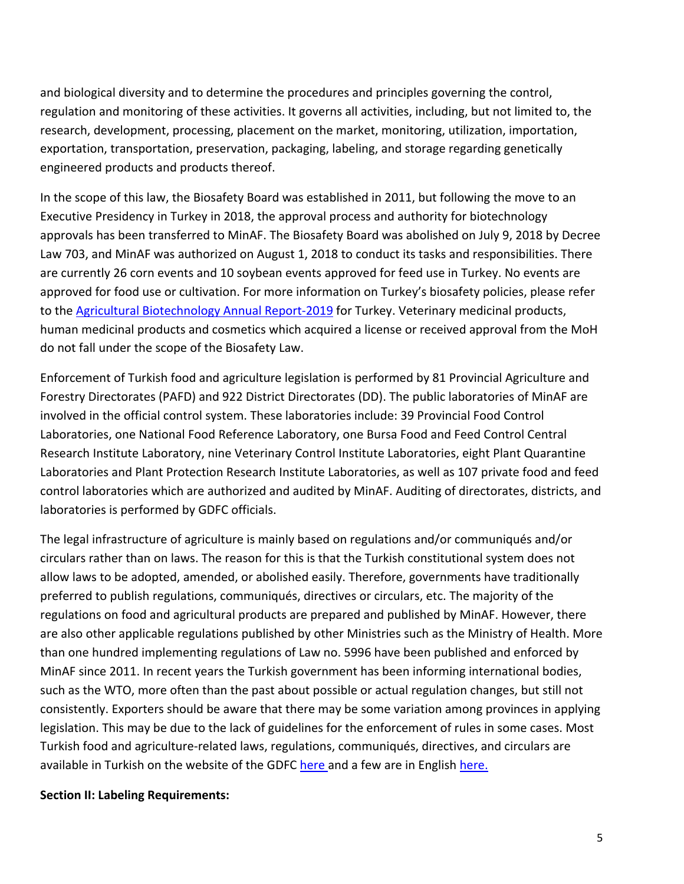and biological diversity and to determine the procedures and principles governing the control, regulation and monitoring of these activities. It governs all activities, including, but not limited to, the research, development, processing, placement on the market, monitoring, utilization, importation, exportation, transportation, preservation, packaging, labeling, and storage regarding genetically engineered products and products thereof.

In the scope of this law, the Biosafety Board was established in 2011, but following the move to an Executive Presidency in Turkey in 2018, the approval process and authority for biotechnology approvals has been transferred to MinAF. The Biosafety Board was abolished on July 9, 2018 by Decree Law 703, and MinAF was authorized on August 1, 2018 to conduct its tasks and responsibilities. There are currently 26 corn events and 10 soybean events approved for feed use in Turkey. No events are approved for food use or cultivation. For more information on Turkey's biosafety policies, please refer to the [Agricultural Biotechnology Annual Report-2019](https://apps.fas.usda.gov/newgainapi/api/Report/DownloadReportByFileName?fileName=Agricultural%20Biotechnology%20Annual_Ankara_Turkey_10-20-2019) for Turkey. Veterinary medicinal products, human medicinal products and cosmetics which acquired a license or received approval from the MoH do not fall under the scope of the Biosafety Law.

Enforcement of Turkish food and agriculture legislation is performed by 81 Provincial Agriculture and Forestry Directorates (PAFD) and 922 District Directorates (DD). The public laboratories of MinAF are involved in the official control system. These laboratories include: 39 Provincial Food Control Laboratories, one National Food Reference Laboratory, one Bursa Food and Feed Control Central Research Institute Laboratory, nine Veterinary Control Institute Laboratories, eight Plant Quarantine Laboratories and Plant Protection Research Institute Laboratories, as well as 107 private food and feed control laboratories which are authorized and audited by MinAF. Auditing of directorates, districts, and laboratories is performed by GDFC officials.

The legal infrastructure of agriculture is mainly based on regulations and/or communiqués and/or circulars rather than on laws. The reason for this is that the Turkish constitutional system does not allow laws to be adopted, amended, or abolished easily. Therefore, governments have traditionally preferred to publish regulations, communiqués, directives or circulars, etc. The majority of the regulations on food and agricultural products are prepared and published by MinAF. However, there are also other applicable regulations published by other Ministries such as the Ministry of Health. More than one hundred implementing regulations of Law no. 5996 have been published and enforced by MinAF since 2011. In recent years the Turkish government has been informing international bodies, such as the WTO, more often than the past about possible or actual regulation changes, but still not consistently. Exporters should be aware that there may be some variation among provinces in applying legislation. This may be due to the lack of guidelines for the enforcement of rules in some cases. Most Turkish food and agriculture-related laws, regulations, communiqués, directives, and circulars are available in Turkish on the website of the GDFC [here a](https://kms.kaysis.gov.tr/Home/Kurum/24308110)nd a few are in English [here](http://www.tarim.gov.tr/Sayfalar/EN/Mevzuat.aspx?OgeId=14).

#### **Section II: Labeling Requirements:**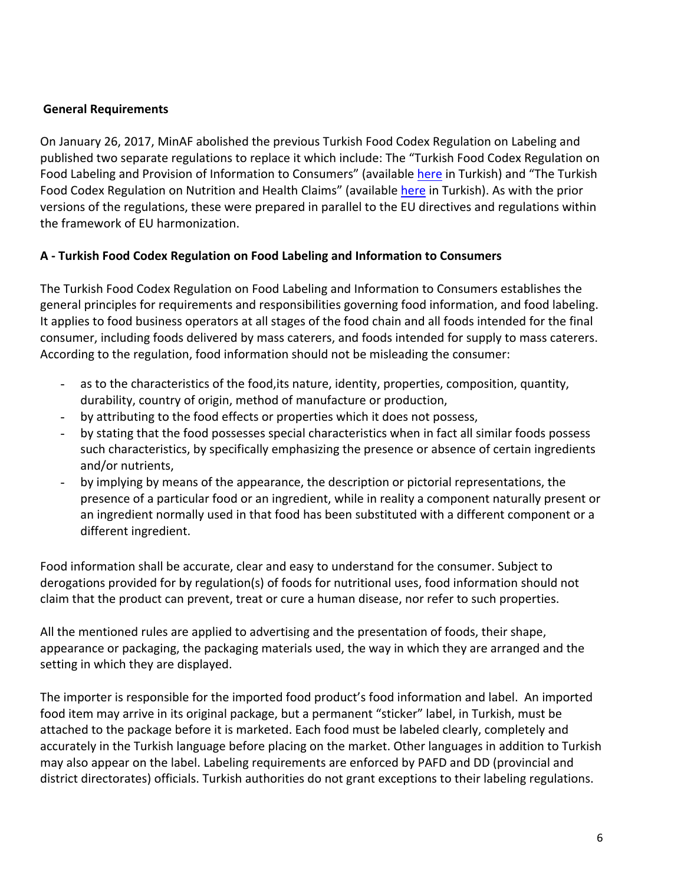### **General Requirements**

On January 26, 2017, MinAF abolished the previous Turkish Food Codex Regulation on Labeling and published two separate regulations to replace it which include: The "Turkish Food Codex Regulation on Food Labeling and Provision of Information to Consumers" (available [here](https://kms.kaysis.gov.tr/Home/Kurum/24308110) in Turkish) and "The Turkish Food Codex Regulation on Nutrition and Health Claims" (available [here](https://kms.kaysis.gov.tr/Home/Kurum/24308110) in Turkish). As with the prior versions of the regulations, these were prepared in parallel to the EU directives and regulations within the framework of EU harmonization.

### **A - Turkish Food Codex Regulation on Food Labeling and Information to Consumers**

The Turkish Food Codex Regulation on Food Labeling and Information to Consumers establishes the general principles for requirements and responsibilities governing food information, and food labeling. It applies to food business operators at all stages of the food chain and all foods intended for the final consumer, including foods delivered by mass caterers, and foods intended for supply to mass caterers. According to the regulation, food information should not be misleading the consumer:

- as to the characteristics of the food,its nature, identity, properties, composition, quantity, durability, country of origin, method of manufacture or production,
- by attributing to the food effects or properties which it does not possess,
- by stating that the food possesses special characteristics when in fact all similar foods possess such characteristics, by specifically emphasizing the presence or absence of certain ingredients and/or nutrients,
- by implying by means of the appearance, the description or pictorial representations, the presence of a particular food or an ingredient, while in reality a component naturally present or an ingredient normally used in that food has been substituted with a different component or a different ingredient.

Food information shall be accurate, clear and easy to understand for the consumer. Subject to derogations provided for by regulation(s) of foods for nutritional uses, food information should not claim that the product can prevent, treat or cure a human disease, nor refer to such properties.

All the mentioned rules are applied to advertising and the presentation of foods, their shape, appearance or packaging, the packaging materials used, the way in which they are arranged and the setting in which they are displayed.

The importer is responsible for the imported food product's food information and label. An imported food item may arrive in its original package, but a permanent "sticker" label, in Turkish, must be attached to the package before it is marketed. Each food must be labeled clearly, completely and accurately in the Turkish language before placing on the market. Other languages in addition to Turkish may also appear on the label. Labeling requirements are enforced by PAFD and DD (provincial and district directorates) officials. Turkish authorities do not grant exceptions to their labeling regulations.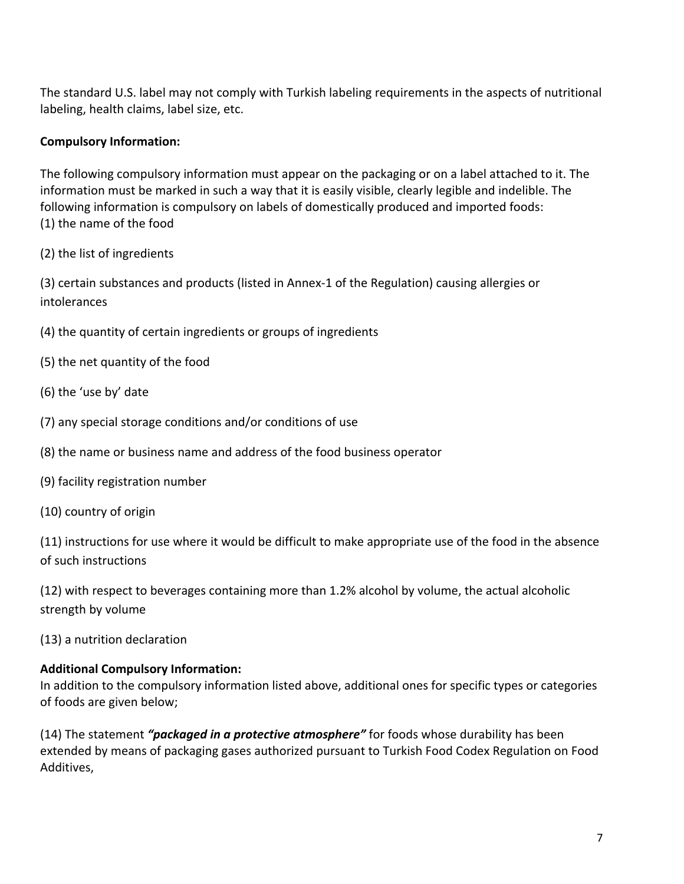The standard U.S. label may not comply with Turkish labeling requirements in the aspects of nutritional labeling, health claims, label size, etc.

# **Compulsory Information:**

The following compulsory information must appear on the packaging or on a label attached to it. The information must be marked in such a way that it is easily visible, clearly legible and indelible. The following information is compulsory on labels of domestically produced and imported foods: (1) the name of the food

(2) the list of ingredients

(3) certain substances and products (listed in Annex-1 of the Regulation) causing allergies or intolerances

- (4) the quantity of certain ingredients or groups of ingredients
- (5) the net quantity of the food
- (6) the 'use by' date
- (7) any special storage conditions and/or conditions of use
- (8) the name or business name and address of the food business operator
- (9) facility registration number
- (10) country of origin

(11) instructions for use where it would be difficult to make appropriate use of the food in the absence of such instructions

(12) with respect to beverages containing more than 1.2% alcohol by volume, the actual alcoholic strength by volume

(13) a nutrition declaration

### **Additional Compulsory Information:**

In addition to the compulsory information listed above, additional ones for specific types or categories of foods are given below;

(14) The statement *"packaged in a protective atmosphere"* for foods whose durability has been extended by means of packaging gases authorized pursuant to Turkish Food Codex Regulation on Food Additives,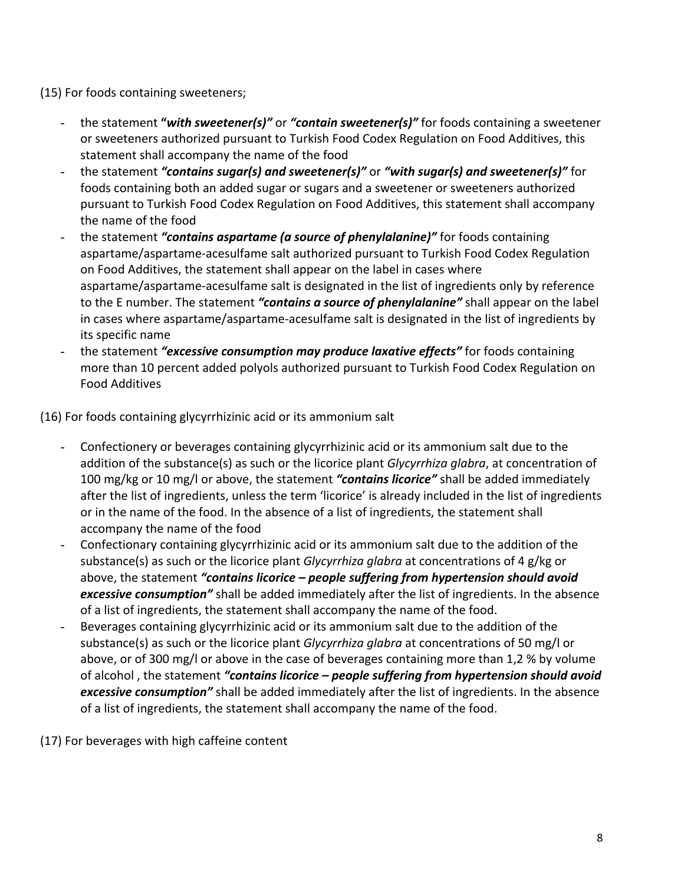(15) For foods containing sweeteners;

- the statement **"***with sweetener(s)"* or *"contain sweetener(s)"* for foods containing a sweetener or sweeteners authorized pursuant to Turkish Food Codex Regulation on Food Additives, this statement shall accompany the name of the food
- the statement *"contains sugar(s) and sweetener(s)"* or *"with sugar(s) and sweetener(s)"* for foods containing both an added sugar or sugars and a sweetener or sweeteners authorized pursuant to Turkish Food Codex Regulation on Food Additives, this statement shall accompany the name of the food
- the statement *"contains aspartame (a source of phenylalanine)"* for foods containing aspartame/aspartame-acesulfame salt authorized pursuant to Turkish Food Codex Regulation on Food Additives, the statement shall appear on the label in cases where aspartame/aspartame-acesulfame salt is designated in the list of ingredients only by reference to the E number. The statement *"contains a source of phenylalanine"* shall appear on the label in cases where aspartame/aspartame-acesulfame salt is designated in the list of ingredients by its specific name
- the statement *"excessive consumption may produce laxative effects"* for foods containing more than 10 percent added polyols authorized pursuant to Turkish Food Codex Regulation on Food Additives

(16) For foods containing glycyrrhizinic acid or its ammonium salt

- Confectionery or beverages containing glycyrrhizinic acid or its ammonium salt due to the addition of the substance(s) as such or the licorice plant *Glycyrrhiza glabra*, at concentration of 100 mg/kg or 10 mg/l or above, the statement *"contains licorice"* shall be added immediately after the list of ingredients, unless the term 'licorice' is already included in the list of ingredients or in the name of the food. In the absence of a list of ingredients, the statement shall accompany the name of the food
- Confectionary containing glycyrrhizinic acid or its ammonium salt due to the addition of the substance(s) as such or the licorice plant *Glycyrrhiza glabra* at concentrations of 4 g/kg or above, the statement *"contains licorice – people suffering from hypertension should avoid excessive consumption"* shall be added immediately after the list of ingredients. In the absence of a list of ingredients, the statement shall accompany the name of the food.
- Beverages containing glycyrrhizinic acid or its ammonium salt due to the addition of the substance(s) as such or the licorice plant *Glycyrrhiza glabra* at concentrations of 50 mg/l or above, or of 300 mg/l or above in the case of beverages containing more than 1,2 % by volume of alcohol , the statement *"contains licorice – people suffering from hypertension should avoid excessive consumption"* shall be added immediately after the list of ingredients. In the absence of a list of ingredients, the statement shall accompany the name of the food.

(17) For beverages with high caffeine content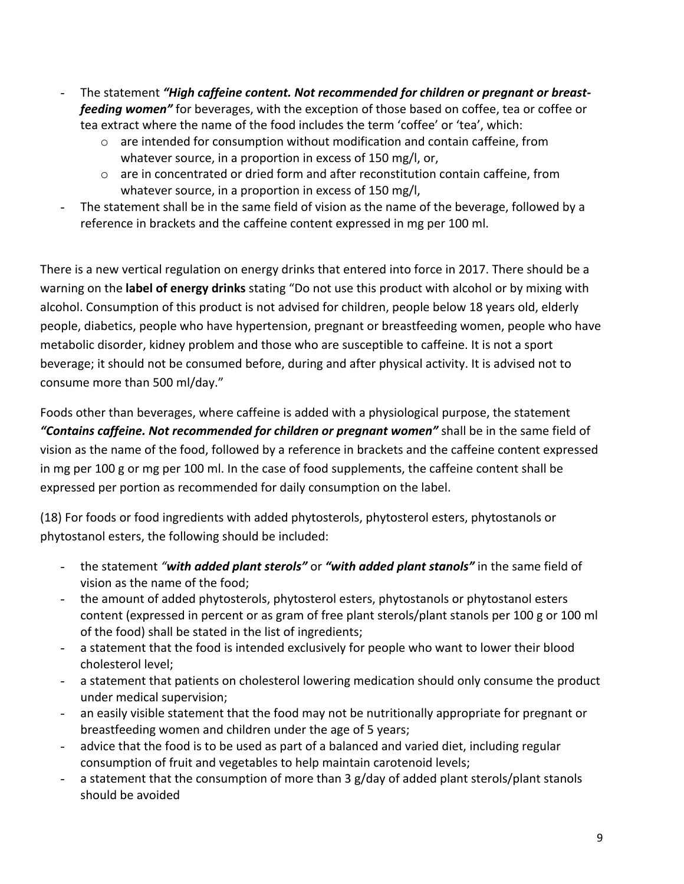- The statement "High caffeine content. Not recommended for children or pregnant or breast*feeding women"* for beverages, with the exception of those based on coffee, tea or coffee or tea extract where the name of the food includes the term 'coffee' or 'tea', which:
	- o are intended for consumption without modification and contain caffeine, from whatever source, in a proportion in excess of 150 mg/l, or,
	- $\circ$  are in concentrated or dried form and after reconstitution contain caffeine, from whatever source, in a proportion in excess of 150 mg/l,
- The statement shall be in the same field of vision as the name of the beverage, followed by a reference in brackets and the caffeine content expressed in mg per 100 ml.

There is a new vertical regulation on energy drinks that entered into force in 2017. There should be a warning on the **label of energy drinks** stating "Do not use this product with alcohol or by mixing with alcohol. Consumption of this product is not advised for children, people below 18 years old, elderly people, diabetics, people who have hypertension, pregnant or breastfeeding women, people who have metabolic disorder, kidney problem and those who are susceptible to caffeine. It is not a sport beverage; it should not be consumed before, during and after physical activity. It is advised not to consume more than 500 ml/day."

Foods other than beverages, where caffeine is added with a physiological purpose, the statement *"Contains caffeine. Not recommended for children or pregnant women"* shall be in the same field of vision as the name of the food, followed by a reference in brackets and the caffeine content expressed in mg per 100 g or mg per 100 ml. In the case of food supplements, the caffeine content shall be expressed per portion as recommended for daily consumption on the label.

(18) For foods or food ingredients with added phytosterols, phytosterol esters, phytostanols or phytostanol esters, the following should be included:

- the statement *"with added plant sterols"* or *"with added plant stanols"* in the same field of vision as the name of the food;
- the amount of added phytosterols, phytosterol esters, phytostanols or phytostanol esters content (expressed in percent or as gram of free plant sterols/plant stanols per 100 g or 100 ml of the food) shall be stated in the list of ingredients;
- a statement that the food is intended exclusively for people who want to lower their blood cholesterol level;
- a statement that patients on cholesterol lowering medication should only consume the product under medical supervision;
- an easily visible statement that the food may not be nutritionally appropriate for pregnant or breastfeeding women and children under the age of 5 years;
- advice that the food is to be used as part of a balanced and varied diet, including regular consumption of fruit and vegetables to help maintain carotenoid levels;
- a statement that the consumption of more than 3 g/day of added plant sterols/plant stanols should be avoided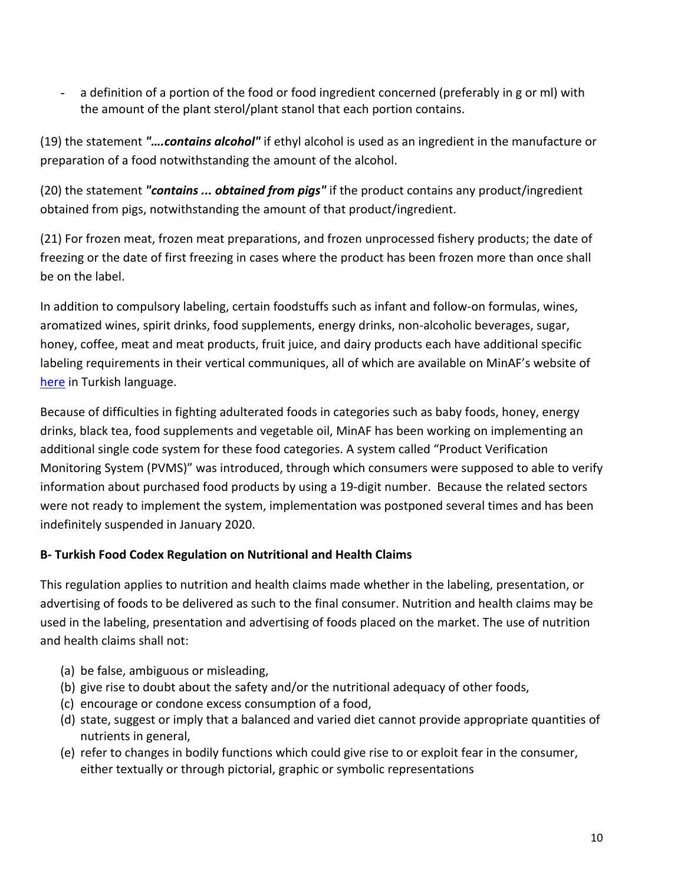- a definition of a portion of the food or food ingredient concerned (preferably in g or ml) with the amount of the plant sterol/plant stanol that each portion contains.

(19) the statement *"….contains alcohol"* if ethyl alcohol is used as an ingredient in the manufacture or preparation of a food notwithstanding the amount of the alcohol.

(20) the statement *"contains ... obtained from pigs"* if the product contains any product/ingredient obtained from pigs, notwithstanding the amount of that product/ingredient.

(21) For frozen meat, frozen meat preparations, and frozen unprocessed fishery products; the date of freezing or the date of first freezing in cases where the product has been frozen more than once shall be on the label.

In addition to compulsory labeling, certain foodstuffs such as infant and follow-on formulas, wines, aromatized wines, spirit drinks, food supplements, energy drinks, non-alcoholic beverages, sugar, honey, coffee, meat and meat products, fruit juice, and dairy products each have additional specific labeling requirements in their vertical communiques, all of which are available on MinAF's website of [here](https://kms.kaysis.gov.tr/Home/Kurum/24308110) in Turkish language.

Because of difficulties in fighting adulterated foods in categories such as baby foods, honey, energy drinks, black tea, food supplements and vegetable oil, MinAF has been working on implementing an additional single code system for these food categories. A system called "Product Verification Monitoring System (PVMS)" was introduced, through which consumers were supposed to able to verify information about purchased food products by using a 19-digit number. Because the related sectors were not ready to implement the system, implementation was postponed several times and has been indefinitely suspended in January 2020.

### **B- Turkish Food Codex Regulation on Nutritional and Health Claims**

This regulation applies to nutrition and health claims made whether in the labeling, presentation, or advertising of foods to be delivered as such to the final consumer. Nutrition and health claims may be used in the labeling, presentation and advertising of foods placed on the market. The use of nutrition and health claims shall not:

- (a) be false, ambiguous or misleading,
- (b) give rise to doubt about the safety and/or the nutritional adequacy of other foods,
- (c) encourage or condone excess consumption of a food,
- (d) state, suggest or imply that a balanced and varied diet cannot provide appropriate quantities of nutrients in general,
- (e) refer to changes in bodily functions which could give rise to or exploit fear in the consumer, either textually or through pictorial, graphic or symbolic representations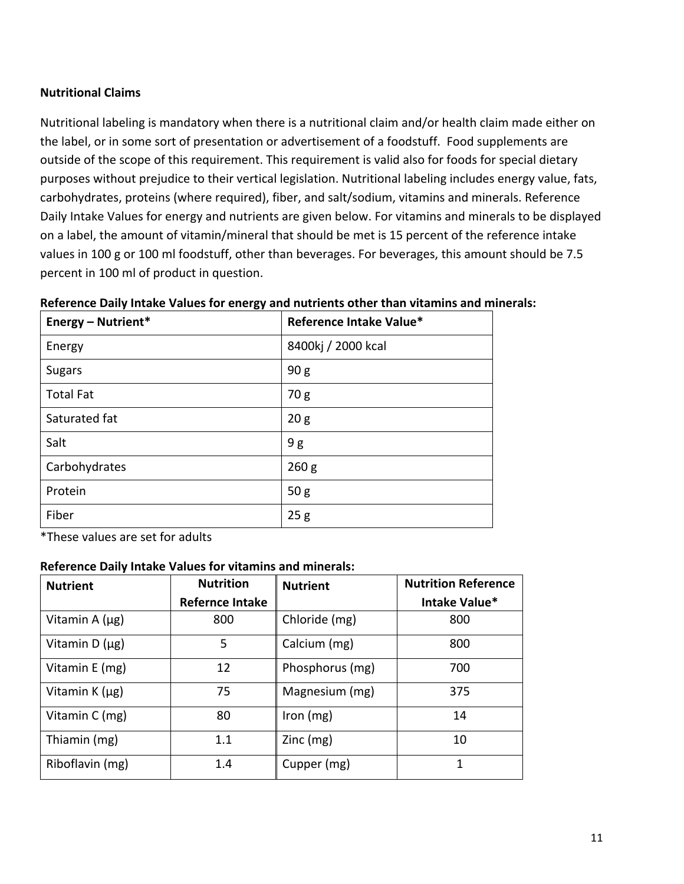### **Nutritional Claims**

Nutritional labeling is mandatory when there is a nutritional claim and/or health claim made either on the label, or in some sort of presentation or advertisement of a foodstuff. Food supplements are outside of the scope of this requirement. This requirement is valid also for foods for special dietary purposes without prejudice to their vertical legislation. Nutritional labeling includes energy value, fats, carbohydrates, proteins (where required), fiber, and salt/sodium, vitamins and minerals. Reference Daily Intake Values for energy and nutrients are given below. For vitamins and minerals to be displayed on a label, the amount of vitamin/mineral that should be met is 15 percent of the reference intake values in 100 g or 100 ml foodstuff, other than beverages. For beverages, this amount should be 7.5 percent in 100 ml of product in question.

| <b>Energy - Nutrient*</b> | Reference Intake Value* |
|---------------------------|-------------------------|
| Energy                    | 8400kj / 2000 kcal      |
| <b>Sugars</b>             | 90 <sub>g</sub>         |
| <b>Total Fat</b>          | 70g                     |
| Saturated fat             | 20 <sub>g</sub>         |
| Salt                      | 9g                      |
| Carbohydrates             | 260 <sub>g</sub>        |
| Protein                   | 50 g                    |
| Fiber                     | 25g                     |

#### **Reference Daily Intake Values for energy and nutrients other than vitamins and minerals:**

\*These values are set for adults

#### **Reference Daily Intake Values for vitamins and minerals:**

| <b>Nutrient</b>     | <b>Nutrition</b>       | <b>Nutrient</b> | <b>Nutrition Reference</b> |
|---------------------|------------------------|-----------------|----------------------------|
|                     | <b>Refernce Intake</b> |                 | Intake Value*              |
| Vitamin A $(\mu g)$ | 800                    | Chloride (mg)   | 800                        |
| Vitamin $D(\mu g)$  | 5                      | Calcium (mg)    | 800                        |
| Vitamin E (mg)      | 12                     | Phosphorus (mg) | 700                        |
| Vitamin $K(\mu g)$  | 75                     | Magnesium (mg)  | 375                        |
| Vitamin C (mg)      | 80                     | Iron $(mg)$     | 14                         |
| Thiamin (mg)        | 1.1                    | Zinc(mg)        | 10                         |
| Riboflavin (mg)     | 1.4                    | Cupper (mg)     | 1                          |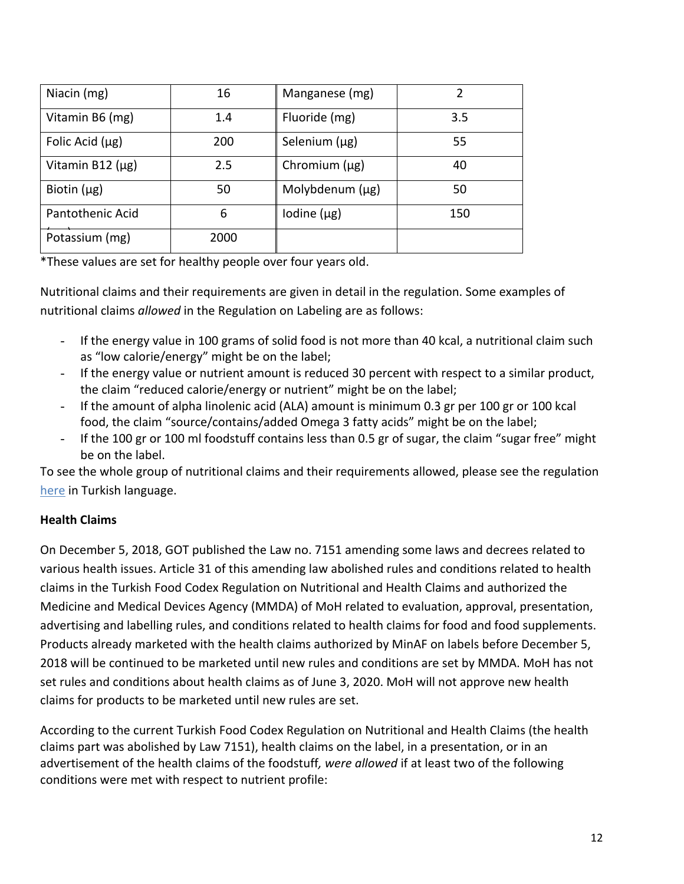| Niacin (mg)           | 16   | Manganese (mg)     |     |
|-----------------------|------|--------------------|-----|
| Vitamin B6 (mg)       | 1.4  | Fluoride (mg)      | 3.5 |
| Folic Acid $(\mu g)$  | 200  | Selenium (µg)      | 55  |
| Vitamin B12 $(\mu g)$ | 2.5  | Chromium $(\mu g)$ | 40  |
| Biotin $(\mu g)$      | 50   | Molybdenum (µg)    | 50  |
| Pantothenic Acid      | 6    | Iodine $(\mu g)$   | 150 |
| Potassium (mg)        | 2000 |                    |     |

\*These values are set for healthy people over four years old.

Nutritional claims and their requirements are given in detail in the regulation. Some examples of nutritional claims *allowed* in the Regulation on Labeling are as follows:

- If the energy value in 100 grams of solid food is not more than 40 kcal, a nutritional claim such as "low calorie/energy" might be on the label;
- If the energy value or nutrient amount is reduced 30 percent with respect to a similar product, the claim "reduced calorie/energy or nutrient" might be on the label;
- If the amount of alpha linolenic acid (ALA) amount is minimum 0.3 gr per 100 gr or 100 kcal food, the claim "source/contains/added Omega 3 fatty acids" might be on the label;
- If the 100 gr or 100 ml foodstuff contains less than 0.5 gr of sugar, the claim "sugar free" might be on the label.

To see the whole group of nutritional claims and their requirements allowed, please see the regulation [here](https://kms.kaysis.gov.tr/Home/Kurum/24308110) in Turkish language.

# **Health Claims**

On December 5, 2018, GOT published the Law no. 7151 amending some laws and decrees related to various health issues. Article 31 of this amending law abolished rules and conditions related to health claims in the Turkish Food Codex Regulation on Nutritional and Health Claims and authorized the Medicine and Medical Devices Agency (MMDA) of MoH related to evaluation, approval, presentation, advertising and labelling rules, and conditions related to health claims for food and food supplements. Products already marketed with the health claims authorized by MinAF on labels before December 5, 2018 will be continued to be marketed until new rules and conditions are set by MMDA. MoH has not set rules and conditions about health claims as of June 3, 2020. MoH will not approve new health claims for products to be marketed until new rules are set.

According to the current Turkish Food Codex Regulation on Nutritional and Health Claims (the health claims part was abolished by Law 7151), health claims on the label, in a presentation, or in an advertisement of the health claims of the foodstuff*, were allowed* if at least two of the following conditions were met with respect to nutrient profile: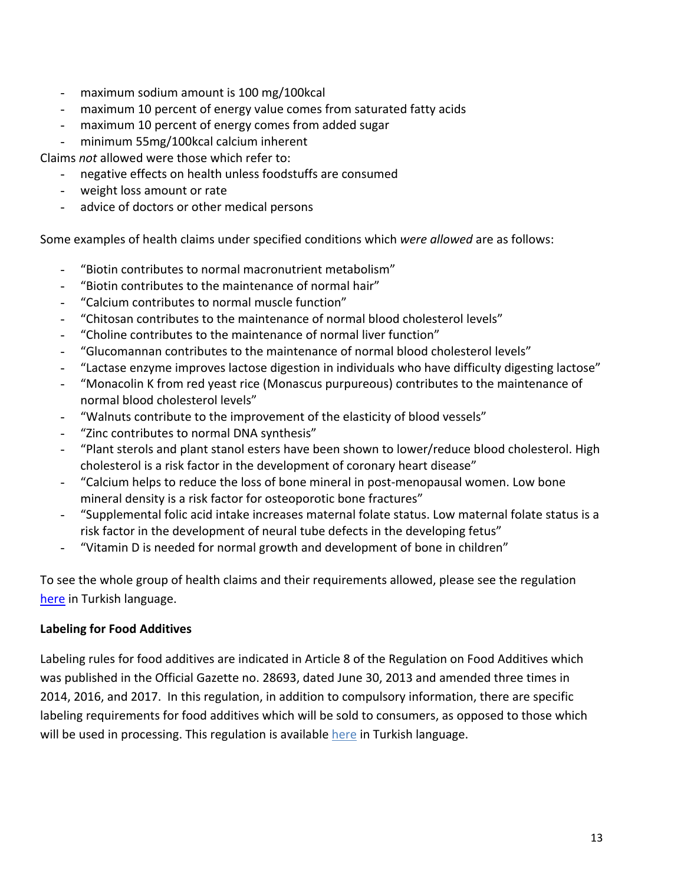- maximum sodium amount is 100 mg/100kcal
- maximum 10 percent of energy value comes from saturated fatty acids
- maximum 10 percent of energy comes from added sugar
- minimum 55mg/100kcal calcium inherent

Claims *not* allowed were those which refer to:

- negative effects on health unless foodstuffs are consumed
- weight loss amount or rate
- advice of doctors or other medical persons

Some examples of health claims under specified conditions which *were allowed* are as follows:

- "Biotin contributes to normal macronutrient metabolism"
- "Biotin contributes to the maintenance of normal hair"
- "Calcium contributes to normal muscle function"
- "Chitosan contributes to the maintenance of normal blood cholesterol levels"
- "Choline contributes to the maintenance of normal liver function"
- "Glucomannan contributes to the maintenance of normal blood cholesterol levels"
- "Lactase enzyme improves lactose digestion in individuals who have difficulty digesting lactose"
- "Monacolin K from red yeast rice (Monascus purpureous) contributes to the maintenance of normal blood cholesterol levels"
- "Walnuts contribute to the improvement of the elasticity of blood vessels"
- "Zinc contributes to normal DNA synthesis"
- "Plant sterols and plant stanol esters have been shown to lower/reduce blood cholesterol. High cholesterol is a risk factor in the development of coronary heart disease"
- "Calcium helps to reduce the loss of bone mineral in post-menopausal women. Low bone mineral density is a risk factor for osteoporotic bone fractures"
- "Supplemental folic acid intake increases maternal folate status. Low maternal folate status is a risk factor in the development of neural tube defects in the developing fetus"
- "Vitamin D is needed for normal growth and development of bone in children"

To see the whole group of health claims and their requirements allowed, please see the regulation [here](https://kms.kaysis.gov.tr/Home/Kurum/24308110) in Turkish language.

# **Labeling for Food Additives**

Labeling rules for food additives are indicated in Article 8 of the Regulation on Food Additives which was published in the Official Gazette no. 28693, dated June 30, 2013 and amended three times in 2014, 2016, and 2017. In this regulation, in addition to compulsory information, there are specific labeling requirements for food additives which will be sold to consumers, as opposed to those which will be used in processing. This regulation is available [here](https://kms.kaysis.gov.tr/Home/Kurum/24308110) in Turkish language.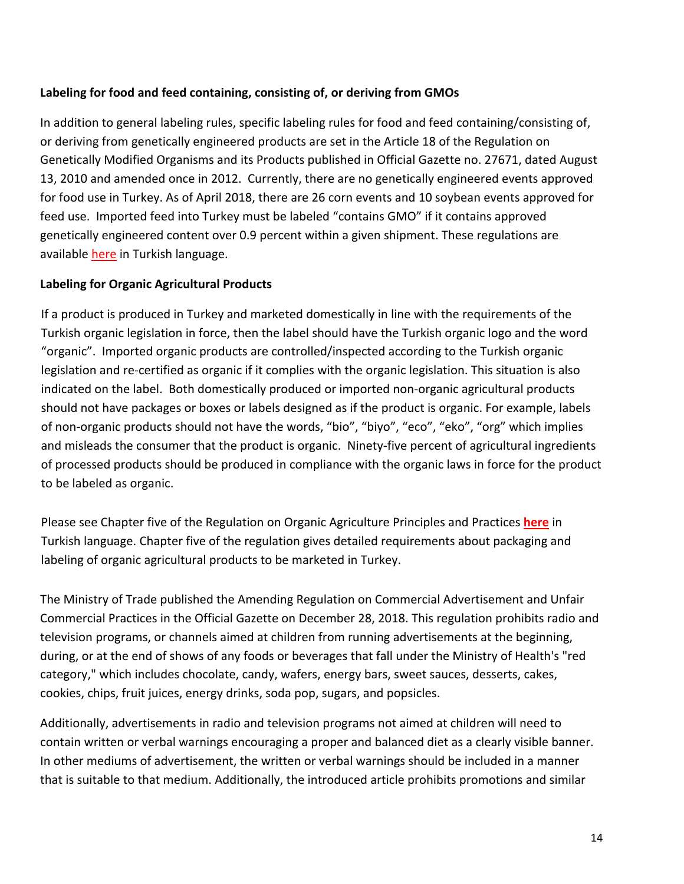# **Labeling for food and feed containing, consisting of, or deriving from GMOs**

In addition to general labeling rules, specific labeling rules for food and feed containing/consisting of, or deriving from genetically engineered products are set in the Article 18 of the Regulation on Genetically Modified Organisms and its Products published in Official Gazette no. 27671, dated August 13, 2010 and amended once in 2012. Currently, there are no genetically engineered events approved for food use in Turkey. As of April 2018, there are 26 corn events and 10 soybean events approved for feed use. Imported feed into Turkey must be labeled "contains GMO" if it contains approved genetically engineered content over 0.9 percent within a given shipment. These regulations are available [here](https://kms.kaysis.gov.tr/Home/Kurum/24308110) in Turkish language.

### **Labeling for Organic Agricultural Products**

If a product is produced in Turkey and marketed domestically in line with the requirements of the Turkish organic legislation in force, then the label should have the Turkish organic logo and the word "organic". Imported organic products are controlled/inspected according to the Turkish organic legislation and re-certified as organic if it complies with the organic legislation. This situation is also indicated on the label. Both domestically produced or imported non-organic agricultural products should not have packages or boxes or labels designed as if the product is organic. For example, labels of non-organic products should not have the words, "bio", "biyo", "eco", "eko", "org" which implies and misleads the consumer that the product is organic. Ninety-five percent of agricultural ingredients of processed products should be produced in compliance with the organic laws in force for the product to be labeled as organic.

Please see Chapter five of the Regulation on Organic Agriculture Principles and Practices **[here](https://kms.kaysis.gov.tr/Home/Kurum/24308110)** in Turkish language. Chapter five of the regulation gives detailed requirements about packaging and labeling of organic agricultural products to be marketed in Turkey.

The Ministry of Trade published the Amending Regulation on Commercial Advertisement and Unfair Commercial Practices in the Official Gazette on December 28, 2018. This regulation prohibits radio and television programs, or channels aimed at children from running advertisements at the beginning, during, or at the end of shows of any foods or beverages that fall under the Ministry of Health's "red category," which includes chocolate, candy, wafers, energy bars, sweet sauces, desserts, cakes, cookies, chips, fruit juices, energy drinks, soda pop, sugars, and popsicles.

Additionally, advertisements in radio and television programs not aimed at children will need to contain written or verbal warnings encouraging a proper and balanced diet as a clearly visible banner. In other mediums of advertisement, the written or verbal warnings should be included in a manner that is suitable to that medium. Additionally, the introduced article prohibits promotions and similar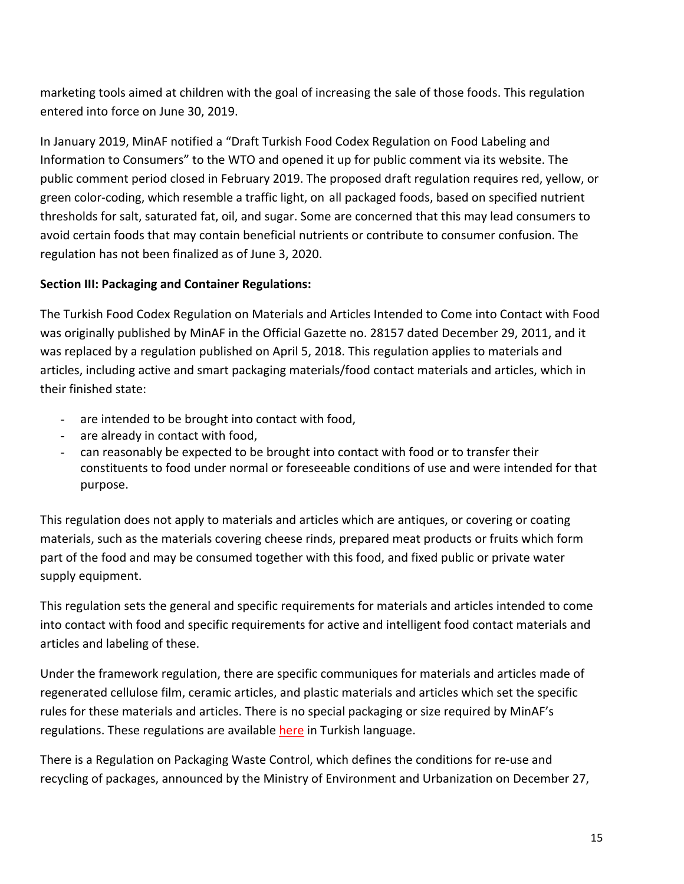marketing tools aimed at children with the goal of increasing the sale of those foods. This regulation entered into force on June 30, 2019.

In January 2019, MinAF notified a "Draft Turkish Food Codex Regulation on Food Labeling and Information to Consumers" to the WTO and opened it up for public comment via its website. The public comment period closed in February 2019. The proposed draft regulation requires red, yellow, or green color-coding, which resemble a traffic light, on all packaged foods, based on specified nutrient thresholds for salt, saturated fat, oil, and sugar. Some are concerned that this may lead consumers to avoid certain foods that may contain beneficial nutrients or contribute to consumer confusion. The regulation has not been finalized as of June 3, 2020.

### **Section III: Packaging and Container Regulations:**

The Turkish Food Codex Regulation on Materials and Articles Intended to Come into Contact with Food was originally published by MinAF in the Official Gazette no. 28157 dated December 29, 2011, and it was replaced by a regulation published on April 5, 2018. This regulation applies to materials and articles, including active and smart packaging materials/food contact materials and articles, which in their finished state:

- are intended to be brought into contact with food,
- are already in contact with food,
- can reasonably be expected to be brought into contact with food or to transfer their constituents to food under normal or foreseeable conditions of use and were intended for that purpose.

This regulation does not apply to materials and articles which are antiques, or covering or coating materials, such as the materials covering cheese rinds, prepared meat products or fruits which form part of the food and may be consumed together with this food, and fixed public or private water supply equipment.

This regulation sets the general and specific requirements for materials and articles intended to come into contact with food and specific requirements for active and intelligent food contact materials and articles and labeling of these.

Under the framework regulation, there are specific communiques for materials and articles made of regenerated cellulose film, ceramic articles, and plastic materials and articles which set the specific rules for these materials and articles. There is no special packaging or size required by MinAF's regulations. These regulations are available [here](https://kms.kaysis.gov.tr/Home/Kurum/24308110) in Turkish language.

There is a Regulation on Packaging Waste Control, which defines the conditions for re-use and recycling of packages, announced by the Ministry of Environment and Urbanization on December 27,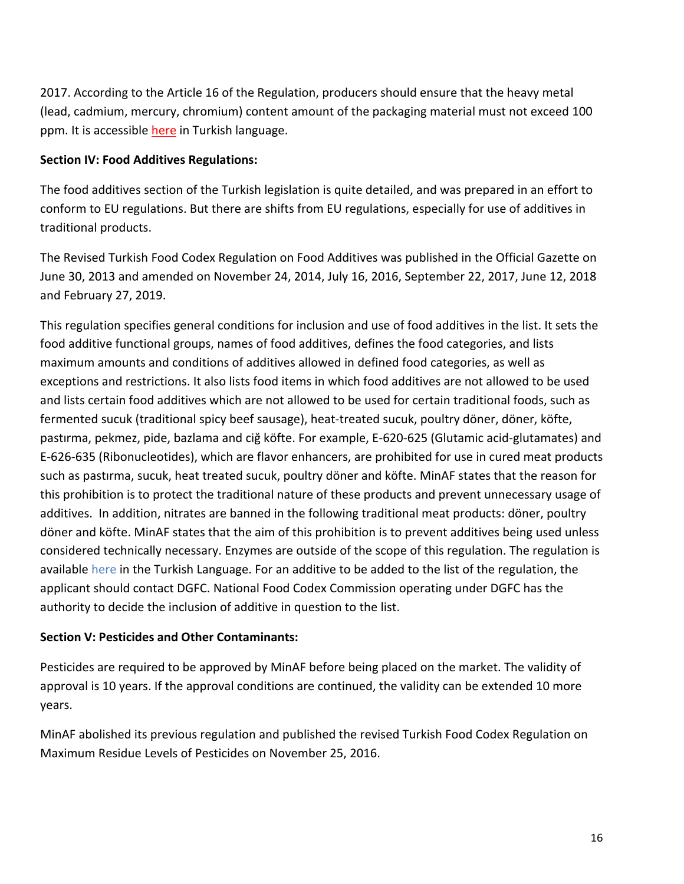2017. According to the Article 16 of the Regulation, producers should ensure that the heavy metal (lead, cadmium, mercury, chromium) content amount of the packaging material must not exceed 100 ppm. It is accessible [here](https://cygm.csb.gov.tr/yonetmelikler-i-440) in Turkish language.

### **Section IV: Food Additives Regulations:**

The food additives section of the Turkish legislation is quite detailed, and was prepared in an effort to conform to EU regulations. But there are shifts from EU regulations, especially for use of additives in traditional products.

The Revised Turkish Food Codex Regulation on Food Additives was published in the Official Gazette on June 30, 2013 and amended on November 24, 2014, July 16, 2016, September 22, 2017, June 12, 2018 and February 27, 2019.

This regulation specifies general conditions for inclusion and use of food additives in the list. It sets the food additive functional groups, names of food additives, defines the food categories, and lists maximum amounts and conditions of additives allowed in defined food categories, as well as exceptions and restrictions. It also lists food items in which food additives are not allowed to be used and lists certain food additives which are not allowed to be used for certain traditional foods, such as fermented sucuk (traditional spicy beef sausage), heat-treated sucuk, poultry döner, döner, köfte, pastırma, pekmez, pide, bazlama and ciğ köfte. For example, E-620-625 (Glutamic acid-glutamates) and E-626-635 (Ribonucleotides), which are flavor enhancers, are prohibited for use in cured meat products such as pastırma, sucuk, heat treated sucuk, poultry döner and köfte. MinAF states that the reason for this prohibition is to protect the traditional nature of these products and prevent unnecessary usage of additives. In addition, nitrates are banned in the following traditional meat products: döner, poultry döner and köfte. MinAF states that the aim of this prohibition is to prevent additives being used unless considered technically necessary. Enzymes are outside of the scope of this regulation. The regulation is available [here](https://kms.kaysis.gov.tr/Home/Kurum/24308110) in the Turkish Language. For an additive to be added to the list of the regulation, the applicant should contact DGFC. National Food Codex Commission operating under DGFC has the authority to decide the inclusion of additive in question to the list.

#### **Section V: Pesticides and Other Contaminants:**

Pesticides are required to be approved by MinAF before being placed on the market. The validity of approval is 10 years. If the approval conditions are continued, the validity can be extended 10 more years.

MinAF abolished its previous regulation and published the revised Turkish Food Codex Regulation on Maximum Residue Levels of Pesticides on November 25, 2016.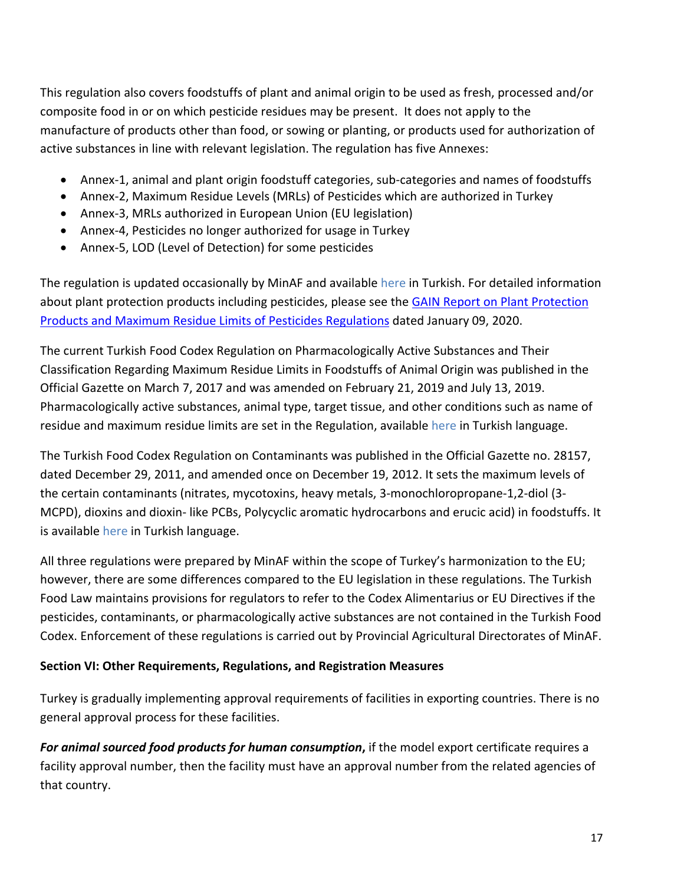This regulation also covers foodstuffs of plant and animal origin to be used as fresh, processed and/or composite food in or on which pesticide residues may be present. It does not apply to the manufacture of products other than food, or sowing or planting, or products used for authorization of active substances in line with relevant legislation. The regulation has five Annexes:

- Annex-1, animal and plant origin foodstuff categories, sub-categories and names of foodstuffs
- Annex-2, Maximum Residue Levels (MRLs) of Pesticides which are authorized in Turkey
- Annex-3, MRLs authorized in European Union (EU legislation)
- Annex-4, Pesticides no longer authorized for usage in Turkey
- Annex-5, LOD (Level of Detection) for some pesticides

The regulation is updated occasionally by MinAF and available [here](https://kms.kaysis.gov.tr/Home/Kurum/24308110) in Turkish. For detailed information about plant protection products including pesticides, please see the [GAIN Report on Plant Protection](https://gain.fas.usda.gov/#/)  [Products and Maximum Residue Limits of Pesticides Regulations](https://gain.fas.usda.gov/#/) dated January 09, 2020.

The current Turkish Food Codex Regulation on Pharmacologically Active Substances and Their Classification Regarding Maximum Residue Limits in Foodstuffs of Animal Origin was published in the Official Gazette on March 7, 2017 and was amended on February 21, 2019 and July 13, 2019. Pharmacologically active substances, animal type, target tissue, and other conditions such as name of residue and maximum residue limits are set in the Regulation, available [here](https://kms.kaysis.gov.tr/Home/Kurum/24308110) in Turkish language.

The Turkish Food Codex Regulation on Contaminants was published in the Official Gazette no. 28157, dated December 29, 2011, and amended once on December 19, 2012. It sets the maximum levels of the certain contaminants (nitrates, mycotoxins, heavy metals, 3-monochloropropane-1,2-diol (3- MCPD), dioxins and dioxin- like PCBs, Polycyclic aromatic hydrocarbons and erucic acid) in foodstuffs. It is available [here](https://kms.kaysis.gov.tr/Home/Kurum/24308110) in Turkish language.

All three regulations were prepared by MinAF within the scope of Turkey's harmonization to the EU; however, there are some differences compared to the EU legislation in these regulations. The Turkish Food Law maintains provisions for regulators to refer to the Codex Alimentarius or EU Directives if the pesticides, contaminants, or pharmacologically active substances are not contained in the Turkish Food Codex. Enforcement of these regulations is carried out by Provincial Agricultural Directorates of MinAF.

### **Section VI: Other Requirements, Regulations, and Registration Measures**

Turkey is gradually implementing approval requirements of facilities in exporting countries. There is no general approval process for these facilities.

*For animal sourced food products for human consumption***,** if the model export certificate requires a facility approval number, then the facility must have an approval number from the related agencies of that country.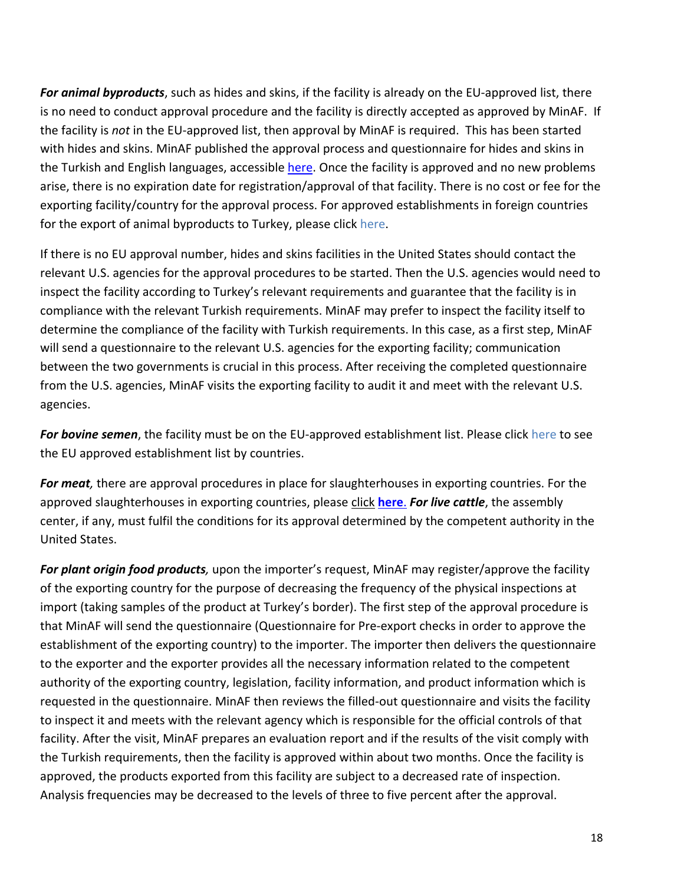*For animal byproducts*, such as hides and skins, if the facility is already on the EU-approved list, there is no need to conduct approval procedure and the facility is directly accepted as approved by MinAF. If the facility is *not* in the EU-approved list, then approval by MinAF is required. This has been started with hides and skins. MinAF published the approval process and questionnaire for hides and skins in the Turkish and English languages, accessible [here](https://www.tarim.gov.tr/GKGM/Belgeler/Veteriner%20Hizmetleri/HayvansalYanUrunIsletmeProsedur/deri_isletmeleri_onay_prosed%C3%BCr%C3%BC.pdf). Once the facility is approved and no new problems arise, there is no expiration date for registration/approval of that facility. There is no cost or fee for the exporting facility/country for the approval process. For approved establishments in foreign countries for the export of animal byproducts to Turkey, please click [here.](https://www.tarimorman.gov.tr/Konular/Veteriner-Hizmetleri/Ihracat-Ithalat/Ithalat)

If there is no EU approval number, hides and skins facilities in the United States should contact the relevant U.S. agencies for the approval procedures to be started. Then the U.S. agencies would need to inspect the facility according to Turkey's relevant requirements and guarantee that the facility is in compliance with the relevant Turkish requirements. MinAF may prefer to inspect the facility itself to determine the compliance of the facility with Turkish requirements. In this case, as a first step, MinAF will send a questionnaire to the relevant U.S. agencies for the exporting facility; communication between the two governments is crucial in this process. After receiving the completed questionnaire from the U.S. agencies, MinAF visits the exporting facility to audit it and meet with the relevant U.S. agencies.

*For bovine semen*, the facility must be on the EU-approved establishment list. Please click [here](https://ec.europa.eu/food/animals/live_animals/approved-establishments_en) to see the EU approved establishment list by countries.

*For meat,* there are approval procedures in place for slaughterhouses in exporting countries. For the approved slaughterhouses in exporting countries, please [click](https://www.tarimorman.gov.tr/Konular/Veteriner-Hizmetleri/Ihracat-Ithalat/Ithalat) **[here](https://www.tarimorman.gov.tr/Konu/1722/S%C4%B1%C4%9F%C4%B1r-eti-ithalat%C4%B1na-izin-verilen-kesimhaneler)**. *For live cattle*, the assembly center, if any, must fulfil the conditions for its approval determined by the competent authority in the United States.

*For plant origin food products,* upon the importer's request, MinAF may register/approve the facility of the exporting country for the purpose of decreasing the frequency of the physical inspections at import (taking samples of the product at Turkey's border). The first step of the approval procedure is that MinAF will send the questionnaire (Questionnaire for Pre-export checks in order to approve the establishment of the exporting country) to the importer. The importer then delivers the questionnaire to the exporter and the exporter provides all the necessary information related to the competent authority of the exporting country, legislation, facility information, and product information which is requested in the questionnaire. MinAF then reviews the filled-out questionnaire and visits the facility to inspect it and meets with the relevant agency which is responsible for the official controls of that facility. After the visit, MinAF prepares an evaluation report and if the results of the visit comply with the Turkish requirements, then the facility is approved within about two months. Once the facility is approved, the products exported from this facility are subject to a decreased rate of inspection. Analysis frequencies may be decreased to the levels of three to five percent after the approval.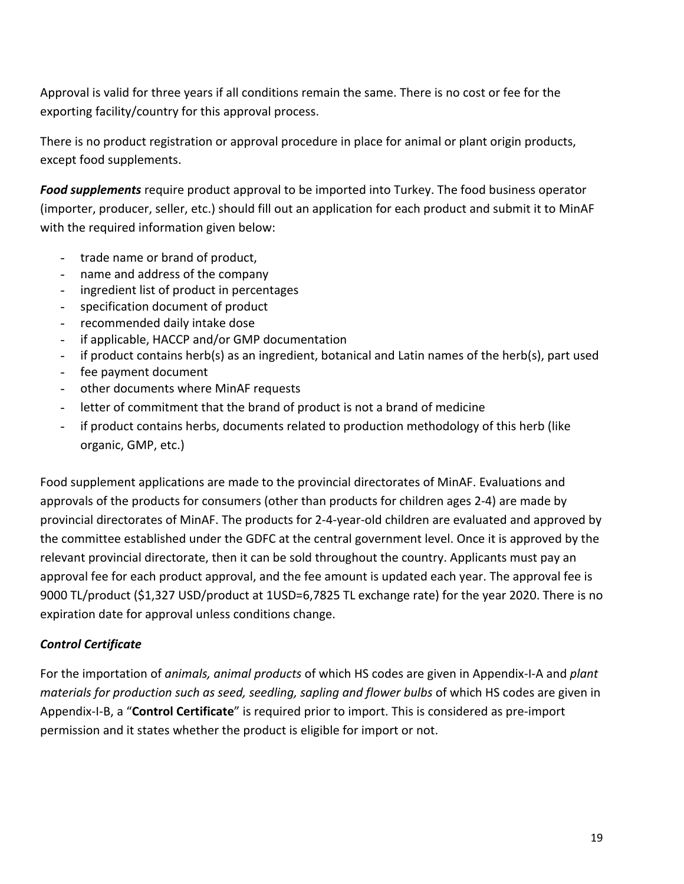Approval is valid for three years if all conditions remain the same. There is no cost or fee for the exporting facility/country for this approval process.

There is no product registration or approval procedure in place for animal or plant origin products, except food supplements.

*Food supplements* require product approval to be imported into Turkey. The food business operator (importer, producer, seller, etc.) should fill out an application for each product and submit it to MinAF with the required information given below:

- trade name or brand of product,
- name and address of the company
- ingredient list of product in percentages
- specification document of product
- recommended daily intake dose
- if applicable, HACCP and/or GMP documentation
- if product contains herb(s) as an ingredient, botanical and Latin names of the herb(s), part used
- fee payment document
- other documents where MinAF requests
- letter of commitment that the brand of product is not a brand of medicine
- if product contains herbs, documents related to production methodology of this herb (like organic, GMP, etc.)

Food supplement applications are made to the provincial directorates of MinAF. Evaluations and approvals of the products for consumers (other than products for children ages 2-4) are made by provincial directorates of MinAF. The products for 2-4-year-old children are evaluated and approved by the committee established under the GDFC at the central government level. Once it is approved by the relevant provincial directorate, then it can be sold throughout the country. Applicants must pay an approval fee for each product approval, and the fee amount is updated each year. The approval fee is 9000 TL/product (\$1,327 USD/product at 1USD=6,7825 TL exchange rate) for the year 2020. There is no expiration date for approval unless conditions change.

# *Control Certificate*

For the importation of *animals, animal products* of which HS codes are given in Appendix-I-A and *plant materials for production such as seed, seedling, sapling and flower bulbs* of which HS codes are given in Appendix-I-B, a "**Control Certificate**" is required prior to import. This is considered as pre-import permission and it states whether the product is eligible for import or not.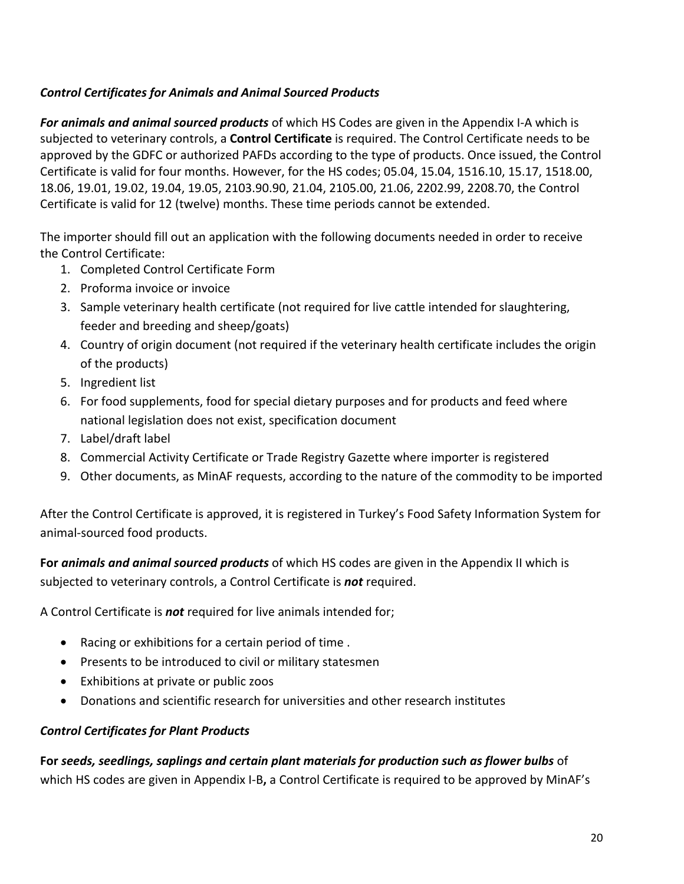# *Control Certificates for Animals and Animal Sourced Products*

*For animals and animal sourced products* of which HS Codes are given in the Appendix I-A which is subjected to veterinary controls, a **Control Certificate** is required. The Control Certificate needs to be approved by the GDFC or authorized PAFDs according to the type of products. Once issued, the Control Certificate is valid for four months. However, for the HS codes; 05.04, 15.04, 1516.10, 15.17, 1518.00, 18.06, 19.01, 19.02, 19.04, 19.05, 2103.90.90, 21.04, 2105.00, 21.06, 2202.99, 2208.70, the Control Certificate is valid for 12 (twelve) months. These time periods cannot be extended.

The importer should fill out an application with the following documents needed in order to receive the Control Certificate:

- 1. Completed Control Certificate Form
- 2. Proforma invoice or invoice
- 3. Sample veterinary health certificate (not required for live cattle intended for slaughtering, feeder and breeding and sheep/goats)
- 4. Country of origin document (not required if the veterinary health certificate includes the origin of the products)
- 5. Ingredient list
- 6. For food supplements, food for special dietary purposes and for products and feed where national legislation does not exist, specification document
- 7. Label/draft label
- 8. Commercial Activity Certificate or Trade Registry Gazette where importer is registered
- 9. Other documents, as MinAF requests, according to the nature of the commodity to be imported

After the Control Certificate is approved, it is registered in Turkey's Food Safety Information System for animal-sourced food products.

**For** *animals and animal sourced products* of which HS codes are given in the Appendix II which is subjected to veterinary controls, a Control Certificate is *not* required.

A Control Certificate is *not* required for live animals intended for;

- Racing or exhibitions for a certain period of time .
- Presents to be introduced to civil or military statesmen
- Exhibitions at private or public zoos
- Donations and scientific research for universities and other research institutes

### *Control Certificates for Plant Products*

**For** *seeds, seedlings, saplings and certain plant materials for production such as flower bulbs* of which HS codes are given in Appendix I-B**,** a Control Certificate is required to be approved by MinAF's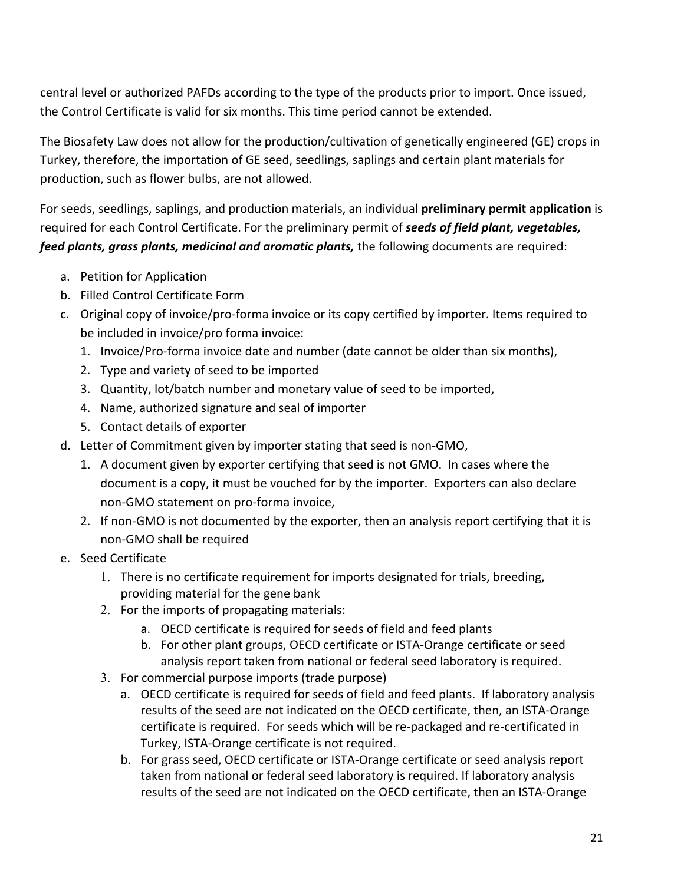central level or authorized PAFDs according to the type of the products prior to import. Once issued, the Control Certificate is valid for six months. This time period cannot be extended.

The Biosafety Law does not allow for the production/cultivation of genetically engineered (GE) crops in Turkey, therefore, the importation of GE seed, seedlings, saplings and certain plant materials for production, such as flower bulbs, are not allowed.

For seeds, seedlings, saplings, and production materials, an individual **preliminary permit application** is required for each Control Certificate. For the preliminary permit of *seeds of field plant, vegetables, feed plants, grass plants, medicinal and aromatic plants,* the following documents are required:

- a. Petition for Application
- b. Filled Control Certificate Form
- c. Original copy of invoice/pro-forma invoice or its copy certified by importer. Items required to be included in invoice/pro forma invoice:
	- 1. Invoice/Pro-forma invoice date and number (date cannot be older than six months),
	- 2. Type and variety of seed to be imported
	- 3. Quantity, lot/batch number and monetary value of seed to be imported,
	- 4. Name, authorized signature and seal of importer
	- 5. Contact details of exporter
- d. Letter of Commitment given by importer stating that seed is non-GMO,
	- 1. A document given by exporter certifying that seed is not GMO. In cases where the document is a copy, it must be vouched for by the importer. Exporters can also declare non-GMO statement on pro-forma invoice,
	- 2. If non-GMO is not documented by the exporter, then an analysis report certifying that it is non-GMO shall be required
- e. Seed Certificate
	- 1. There is no certificate requirement for imports designated for trials, breeding, providing material for the gene bank
	- 2. For the imports of propagating materials:
		- a. OECD certificate is required for seeds of field and feed plants
		- b. For other plant groups, OECD certificate or ISTA-Orange certificate or seed analysis report taken from national or federal seed laboratory is required.
	- 3. For commercial purpose imports (trade purpose)
		- a. OECD certificate is required for seeds of field and feed plants. If laboratory analysis results of the seed are not indicated on the OECD certificate, then, an ISTA-Orange certificate is required. For seeds which will be re-packaged and re-certificated in Turkey, ISTA-Orange certificate is not required.
		- b. For grass seed, OECD certificate or ISTA-Orange certificate or seed analysis report taken from national or federal seed laboratory is required. If laboratory analysis results of the seed are not indicated on the OECD certificate, then an ISTA-Orange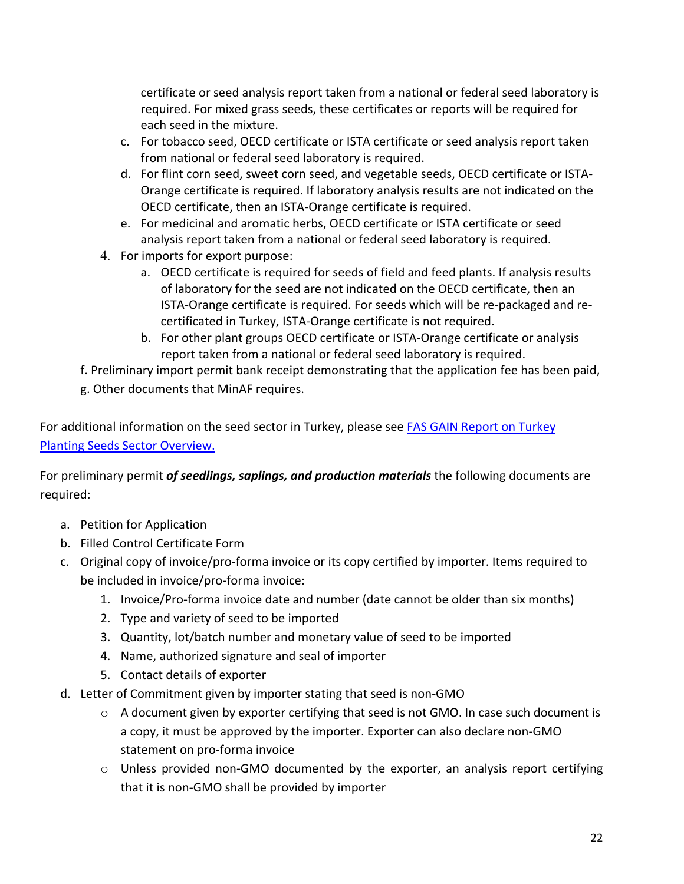certificate or seed analysis report taken from a national or federal seed laboratory is required. For mixed grass seeds, these certificates or reports will be required for each seed in the mixture.

- c. For tobacco seed, OECD certificate or ISTA certificate or seed analysis report taken from national or federal seed laboratory is required.
- d. For flint corn seed, sweet corn seed, and vegetable seeds, OECD certificate or ISTA-Orange certificate is required. If laboratory analysis results are not indicated on the OECD certificate, then an ISTA-Orange certificate is required.
- e. For medicinal and aromatic herbs, OECD certificate or ISTA certificate or seed analysis report taken from a national or federal seed laboratory is required.
- 4. For imports for export purpose:
	- a. OECD certificate is required for seeds of field and feed plants. If analysis results of laboratory for the seed are not indicated on the OECD certificate, then an ISTA-Orange certificate is required. For seeds which will be re-packaged and recertificated in Turkey, ISTA-Orange certificate is not required.
	- b. For other plant groups OECD certificate or ISTA-Orange certificate or analysis report taken from a national or federal seed laboratory is required.
- f. Preliminary import permit bank receipt demonstrating that the application fee has been paid,
- g. Other documents that MinAF requires.

For additional information on the seed sector in Turkey, please see [FAS GAIN Report on Turkey](https://gain.fas.usda.gov/#/search)  [Planting Seeds Sector Overview.](https://gain.fas.usda.gov/#/search)

For preliminary permit *of seedlings, saplings, and production materials* the following documents are required:

- a. Petition for Application
- b. Filled Control Certificate Form
- c. Original copy of invoice/pro-forma invoice or its copy certified by importer. Items required to be included in invoice/pro-forma invoice:
	- 1. Invoice/Pro-forma invoice date and number (date cannot be older than six months)
	- 2. Type and variety of seed to be imported
	- 3. Quantity, lot/batch number and monetary value of seed to be imported
	- 4. Name, authorized signature and seal of importer
	- 5. Contact details of exporter
- d. Letter of Commitment given by importer stating that seed is non-GMO
	- o A document given by exporter certifying that seed is not GMO. In case such document is a copy, it must be approved by the importer. Exporter can also declare non-GMO statement on pro-forma invoice
	- o Unless provided non-GMO documented by the exporter, an analysis report certifying that it is non-GMO shall be provided by importer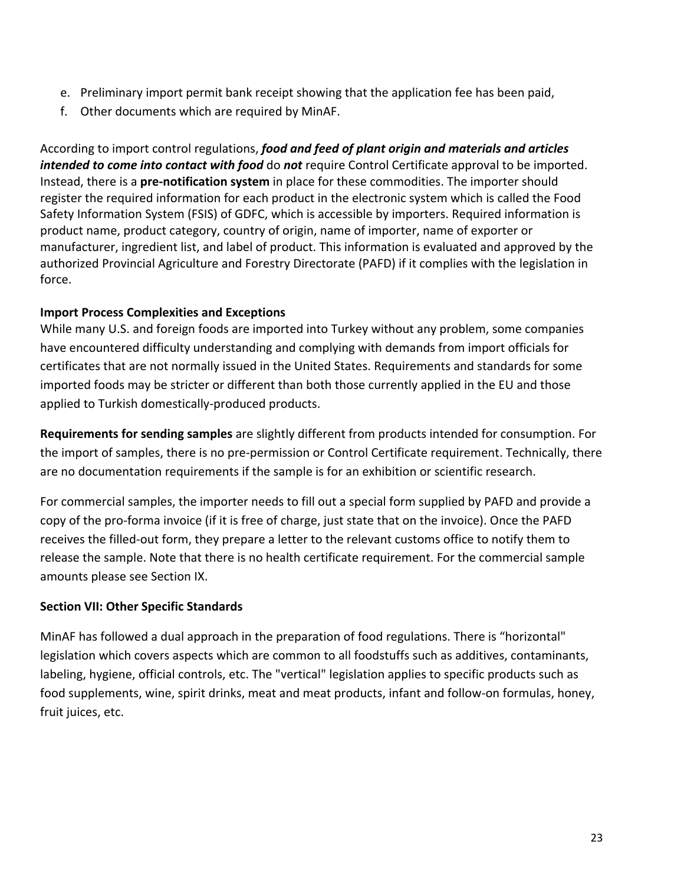- e. Preliminary import permit bank receipt showing that the application fee has been paid,
- f. Other documents which are required by MinAF.

According to import control regulations, *food and feed of plant origin and materials and articles intended to come into contact with food* do *not* require Control Certificate approval to be imported. Instead, there is a **pre-notification system** in place for these commodities. The importer should register the required information for each product in the electronic system which is called the Food Safety Information System (FSIS) of GDFC, which is accessible by importers. Required information is product name, product category, country of origin, name of importer, name of exporter or manufacturer, ingredient list, and label of product. This information is evaluated and approved by the authorized Provincial Agriculture and Forestry Directorate (PAFD) if it complies with the legislation in force.

### **Import Process Complexities and Exceptions**

While many U.S. and foreign foods are imported into Turkey without any problem, some companies have encountered difficulty understanding and complying with demands from import officials for certificates that are not normally issued in the United States. Requirements and standards for some imported foods may be stricter or different than both those currently applied in the EU and those applied to Turkish domestically-produced products.

**Requirements for sending samples** are slightly different from products intended for consumption. For the import of samples, there is no pre-permission or Control Certificate requirement. Technically, there are no documentation requirements if the sample is for an exhibition or scientific research.

For commercial samples, the importer needs to fill out a special form supplied by PAFD and provide a copy of the pro-forma invoice (if it is free of charge, just state that on the invoice). Once the PAFD receives the filled-out form, they prepare a letter to the relevant customs office to notify them to release the sample. Note that there is no health certificate requirement. For the commercial sample amounts please see Section IX.

### **Section VII: Other Specific Standards**

MinAF has followed a dual approach in the preparation of food regulations. There is "horizontal" legislation which covers aspects which are common to all foodstuffs such as additives, contaminants, labeling, hygiene, official controls, etc. The "vertical" legislation applies to specific products such as food supplements, wine, spirit drinks, meat and meat products, infant and follow-on formulas, honey, fruit juices, etc.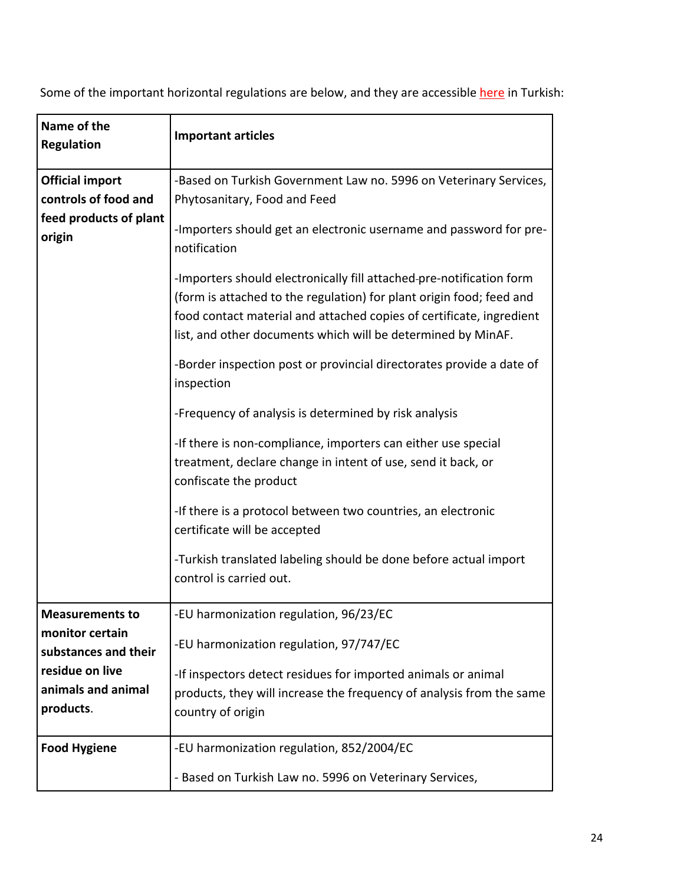Some of the important horizontal regulations are below, and they are accessible [here](https://kms.kaysis.gov.tr/Home/Kurum/24308110) in Turkish:

| Name of the<br><b>Regulation</b>                                         | <b>Important articles</b>                                                                                                                                                                                    |
|--------------------------------------------------------------------------|--------------------------------------------------------------------------------------------------------------------------------------------------------------------------------------------------------------|
| <b>Official import</b><br>controls of food and<br>feed products of plant | -Based on Turkish Government Law no. 5996 on Veterinary Services,<br>Phytosanitary, Food and Feed<br>-Importers should get an electronic username and password for pre-                                      |
| origin                                                                   | notification<br>-Importers should electronically fill attached-pre-notification form<br>(form is attached to the regulation) for plant origin food; feed and                                                 |
|                                                                          | food contact material and attached copies of certificate, ingredient<br>list, and other documents which will be determined by MinAF.<br>-Border inspection post or provincial directorates provide a date of |
|                                                                          | inspection<br>-Frequency of analysis is determined by risk analysis                                                                                                                                          |
|                                                                          | -If there is non-compliance, importers can either use special<br>treatment, declare change in intent of use, send it back, or<br>confiscate the product                                                      |
|                                                                          | -If there is a protocol between two countries, an electronic<br>certificate will be accepted                                                                                                                 |
|                                                                          | -Turkish translated labeling should be done before actual import<br>control is carried out.                                                                                                                  |
| <b>Measurements to</b>                                                   | -EU harmonization regulation, 96/23/EC                                                                                                                                                                       |
| monitor certain<br>substances and their                                  | -EU harmonization regulation, 97/747/EC                                                                                                                                                                      |
| residue on live                                                          | -If inspectors detect residues for imported animals or animal                                                                                                                                                |
| animals and animal<br>products.                                          | products, they will increase the frequency of analysis from the same<br>country of origin                                                                                                                    |
| <b>Food Hygiene</b>                                                      | -EU harmonization regulation, 852/2004/EC                                                                                                                                                                    |
|                                                                          | - Based on Turkish Law no. 5996 on Veterinary Services,                                                                                                                                                      |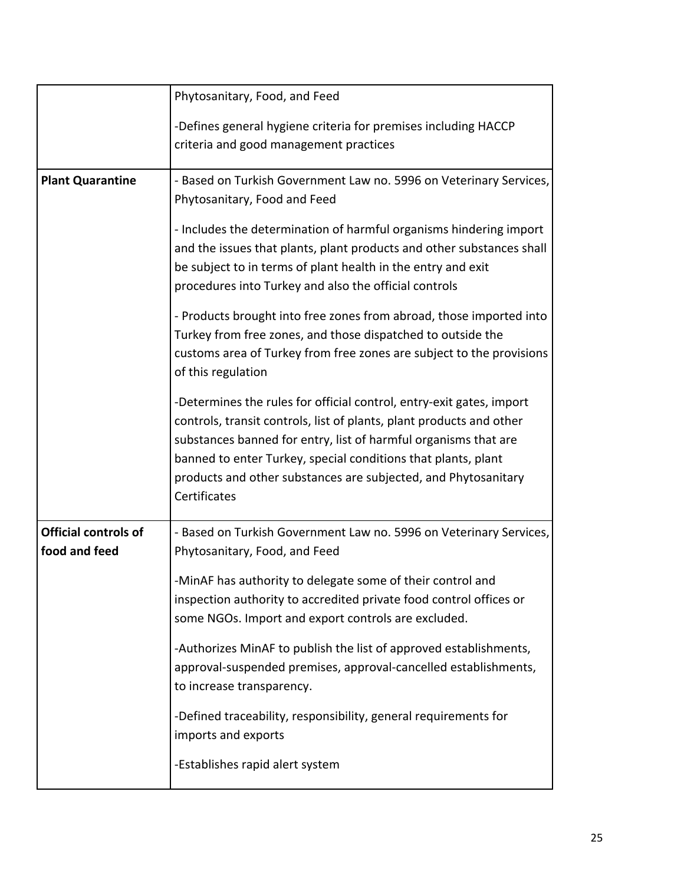|                                              | Phytosanitary, Food, and Feed                                                                                                                                                                                                                                                                                                                                      |
|----------------------------------------------|--------------------------------------------------------------------------------------------------------------------------------------------------------------------------------------------------------------------------------------------------------------------------------------------------------------------------------------------------------------------|
|                                              | -Defines general hygiene criteria for premises including HACCP<br>criteria and good management practices                                                                                                                                                                                                                                                           |
| <b>Plant Quarantine</b>                      | - Based on Turkish Government Law no. 5996 on Veterinary Services,<br>Phytosanitary, Food and Feed                                                                                                                                                                                                                                                                 |
|                                              | - Includes the determination of harmful organisms hindering import<br>and the issues that plants, plant products and other substances shall<br>be subject to in terms of plant health in the entry and exit<br>procedures into Turkey and also the official controls                                                                                               |
|                                              | - Products brought into free zones from abroad, those imported into<br>Turkey from free zones, and those dispatched to outside the<br>customs area of Turkey from free zones are subject to the provisions<br>of this regulation                                                                                                                                   |
|                                              | -Determines the rules for official control, entry-exit gates, import<br>controls, transit controls, list of plants, plant products and other<br>substances banned for entry, list of harmful organisms that are<br>banned to enter Turkey, special conditions that plants, plant<br>products and other substances are subjected, and Phytosanitary<br>Certificates |
| <b>Official controls of</b><br>food and feed | - Based on Turkish Government Law no. 5996 on Veterinary Services,<br>Phytosanitary, Food, and Feed                                                                                                                                                                                                                                                                |
|                                              | -MinAF has authority to delegate some of their control and<br>inspection authority to accredited private food control offices or<br>some NGOs. Import and export controls are excluded.                                                                                                                                                                            |
|                                              | -Authorizes MinAF to publish the list of approved establishments,<br>approval-suspended premises, approval-cancelled establishments,<br>to increase transparency.                                                                                                                                                                                                  |
|                                              | -Defined traceability, responsibility, general requirements for<br>imports and exports                                                                                                                                                                                                                                                                             |
|                                              | -Establishes rapid alert system                                                                                                                                                                                                                                                                                                                                    |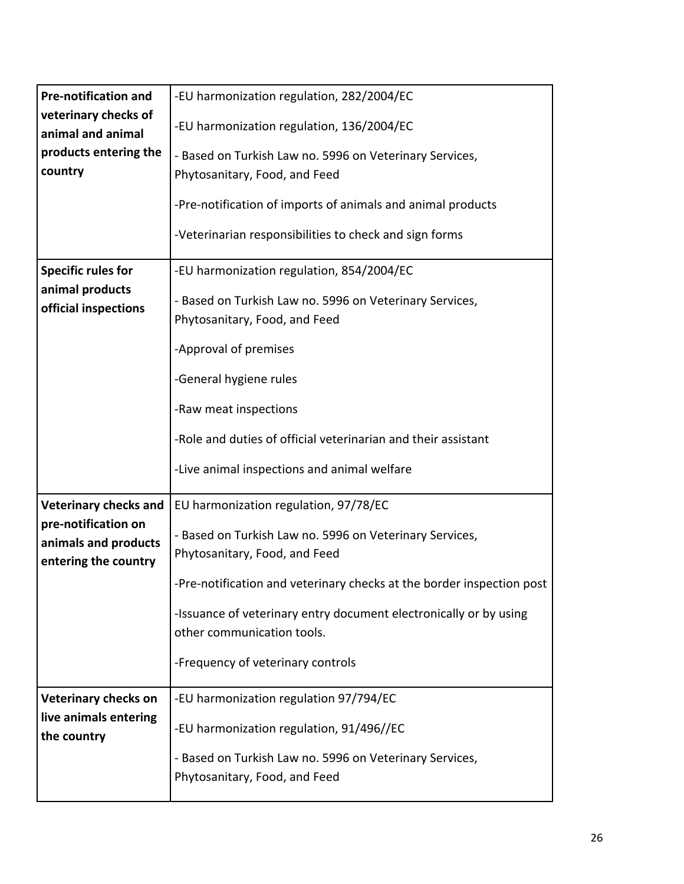| <b>Pre-notification and</b>                  | -EU harmonization regulation, 282/2004/EC                             |
|----------------------------------------------|-----------------------------------------------------------------------|
| veterinary checks of<br>animal and animal    | -EU harmonization regulation, 136/2004/EC                             |
| products entering the                        | - Based on Turkish Law no. 5996 on Veterinary Services,               |
| country                                      | Phytosanitary, Food, and Feed                                         |
|                                              | -Pre-notification of imports of animals and animal products           |
|                                              | -Veterinarian responsibilities to check and sign forms                |
| <b>Specific rules for</b><br>animal products | -EU harmonization regulation, 854/2004/EC                             |
| official inspections                         | - Based on Turkish Law no. 5996 on Veterinary Services,               |
|                                              | Phytosanitary, Food, and Feed                                         |
|                                              | -Approval of premises                                                 |
|                                              | -General hygiene rules                                                |
|                                              | -Raw meat inspections                                                 |
|                                              | -Role and duties of official veterinarian and their assistant         |
|                                              | -Live animal inspections and animal welfare                           |
| <b>Veterinary checks and</b>                 | EU harmonization regulation, 97/78/EC                                 |
| pre-notification on<br>animals and products  | - Based on Turkish Law no. 5996 on Veterinary Services,               |
| entering the country                         | Phytosanitary, Food, and Feed                                         |
|                                              | -Pre-notification and veterinary checks at the border inspection post |
|                                              | -Issuance of veterinary entry document electronically or by using     |
|                                              | other communication tools.                                            |
|                                              | -Frequency of veterinary controls                                     |
| <b>Veterinary checks on</b>                  | -EU harmonization regulation 97/794/EC                                |
| live animals entering<br>the country         | -EU harmonization regulation, 91/496//EC                              |
|                                              | - Based on Turkish Law no. 5996 on Veterinary Services,               |
|                                              | Phytosanitary, Food, and Feed                                         |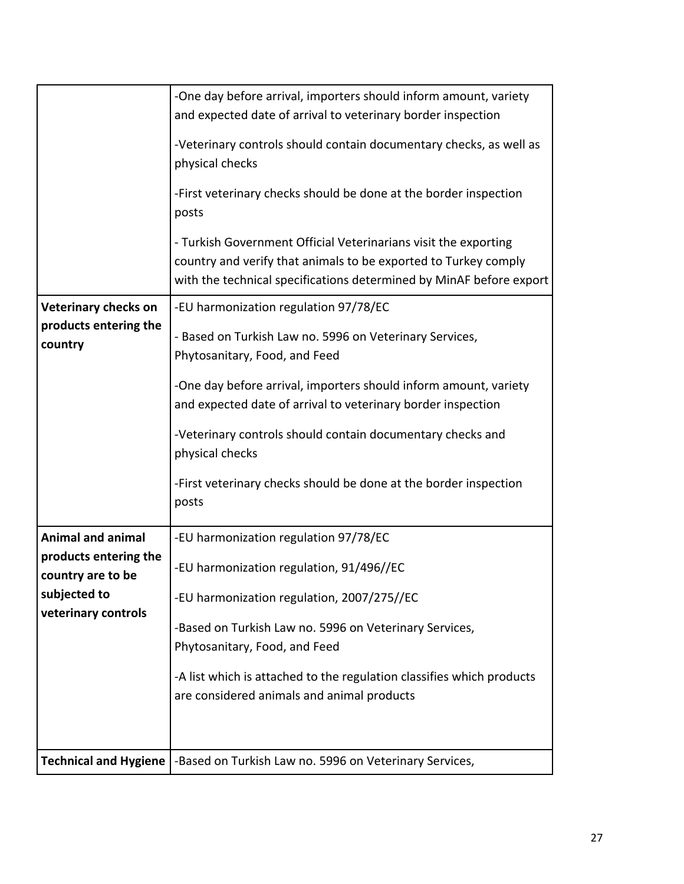|                                            | -One day before arrival, importers should inform amount, variety<br>and expected date of arrival to veterinary border inspection                                                                          |
|--------------------------------------------|-----------------------------------------------------------------------------------------------------------------------------------------------------------------------------------------------------------|
|                                            | -Veterinary controls should contain documentary checks, as well as<br>physical checks                                                                                                                     |
|                                            | -First veterinary checks should be done at the border inspection<br>posts                                                                                                                                 |
|                                            | - Turkish Government Official Veterinarians visit the exporting<br>country and verify that animals to be exported to Turkey comply<br>with the technical specifications determined by MinAF before export |
| <b>Veterinary checks on</b>                | -EU harmonization regulation 97/78/EC                                                                                                                                                                     |
| products entering the<br>country           | - Based on Turkish Law no. 5996 on Veterinary Services,<br>Phytosanitary, Food, and Feed                                                                                                                  |
|                                            | -One day before arrival, importers should inform amount, variety<br>and expected date of arrival to veterinary border inspection                                                                          |
|                                            | -Veterinary controls should contain documentary checks and<br>physical checks                                                                                                                             |
|                                            | -First veterinary checks should be done at the border inspection<br>posts                                                                                                                                 |
| <b>Animal and animal</b>                   | -EU harmonization regulation 97/78/EC                                                                                                                                                                     |
| products entering the<br>country are to be | -EU harmonization regulation, 91/496//EC                                                                                                                                                                  |
| subjected to                               | -EU harmonization regulation, 2007/275//EC                                                                                                                                                                |
| veterinary controls                        | -Based on Turkish Law no. 5996 on Veterinary Services,                                                                                                                                                    |
|                                            | Phytosanitary, Food, and Feed                                                                                                                                                                             |
|                                            | -A list which is attached to the regulation classifies which products<br>are considered animals and animal products                                                                                       |
|                                            |                                                                                                                                                                                                           |
|                                            | Technical and Hygiene   - Based on Turkish Law no. 5996 on Veterinary Services,                                                                                                                           |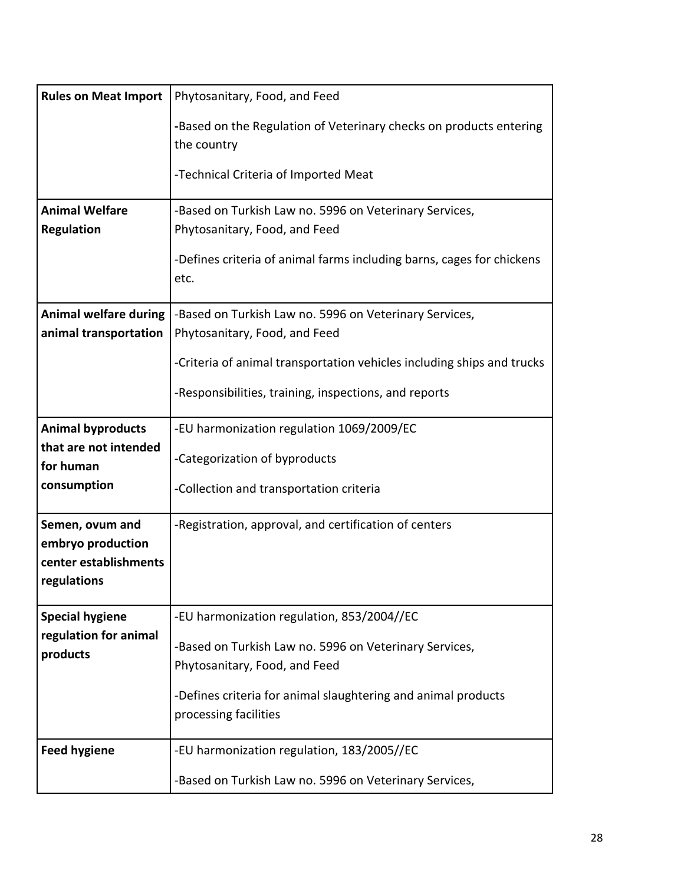| <b>Rules on Meat Import</b>                               | Phytosanitary, Food, and Feed                                                           |
|-----------------------------------------------------------|-----------------------------------------------------------------------------------------|
|                                                           | -Based on the Regulation of Veterinary checks on products entering<br>the country       |
|                                                           | -Technical Criteria of Imported Meat                                                    |
| <b>Animal Welfare</b><br><b>Regulation</b>                | -Based on Turkish Law no. 5996 on Veterinary Services,<br>Phytosanitary, Food, and Feed |
|                                                           | -Defines criteria of animal farms including barns, cages for chickens<br>etc.           |
| <b>Animal welfare during</b><br>animal transportation     | -Based on Turkish Law no. 5996 on Veterinary Services,<br>Phytosanitary, Food, and Feed |
|                                                           | -Criteria of animal transportation vehicles including ships and trucks                  |
|                                                           | -Responsibilities, training, inspections, and reports                                   |
| <b>Animal byproducts</b>                                  | -EU harmonization regulation 1069/2009/EC                                               |
| that are not intended<br>for human                        | -Categorization of byproducts                                                           |
| consumption                                               | -Collection and transportation criteria                                                 |
| Semen, ovum and                                           | -Registration, approval, and certification of centers                                   |
| embryo production<br>center establishments<br>regulations |                                                                                         |
| <b>Special hygiene</b>                                    | -EU harmonization regulation, 853/2004//EC                                              |
| regulation for animal<br>products                         | -Based on Turkish Law no. 5996 on Veterinary Services,<br>Phytosanitary, Food, and Feed |
|                                                           | -Defines criteria for animal slaughtering and animal products<br>processing facilities  |
| <b>Feed hygiene</b>                                       | -EU harmonization regulation, 183/2005//EC                                              |
|                                                           | -Based on Turkish Law no. 5996 on Veterinary Services,                                  |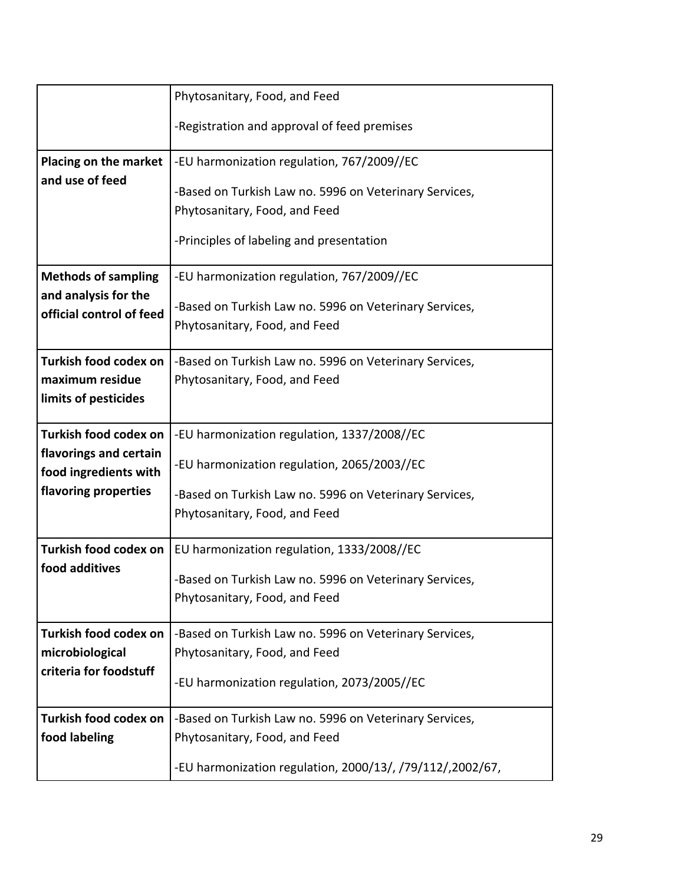|                                                  | Phytosanitary, Food, and Feed                             |
|--------------------------------------------------|-----------------------------------------------------------|
|                                                  | -Registration and approval of feed premises               |
| Placing on the market                            | -EU harmonization regulation, 767/2009//EC                |
| and use of feed                                  | -Based on Turkish Law no. 5996 on Veterinary Services,    |
|                                                  | Phytosanitary, Food, and Feed                             |
|                                                  | -Principles of labeling and presentation                  |
| <b>Methods of sampling</b>                       | -EU harmonization regulation, 767/2009//EC                |
| and analysis for the<br>official control of feed | -Based on Turkish Law no. 5996 on Veterinary Services,    |
|                                                  | Phytosanitary, Food, and Feed                             |
| Turkish food codex on                            | -Based on Turkish Law no. 5996 on Veterinary Services,    |
| maximum residue<br>limits of pesticides          | Phytosanitary, Food, and Feed                             |
|                                                  |                                                           |
| Turkish food codex on                            | -EU harmonization regulation, 1337/2008//EC               |
| flavorings and certain<br>food ingredients with  | -EU harmonization regulation, 2065/2003//EC               |
| flavoring properties                             | -Based on Turkish Law no. 5996 on Veterinary Services,    |
|                                                  | Phytosanitary, Food, and Feed                             |
| Turkish food codex on                            | EU harmonization regulation, 1333/2008//EC                |
| food additives                                   | -Based on Turkish Law no. 5996 on Veterinary Services,    |
|                                                  | Phytosanitary, Food, and Feed                             |
| Turkish food codex on                            | -Based on Turkish Law no. 5996 on Veterinary Services,    |
| microbiological                                  | Phytosanitary, Food, and Feed                             |
| criteria for foodstuff                           | -EU harmonization regulation, 2073/2005//EC               |
| Turkish food codex on                            | -Based on Turkish Law no. 5996 on Veterinary Services,    |
| food labeling                                    | Phytosanitary, Food, and Feed                             |
|                                                  | -EU harmonization regulation, 2000/13/, /79/112/,2002/67, |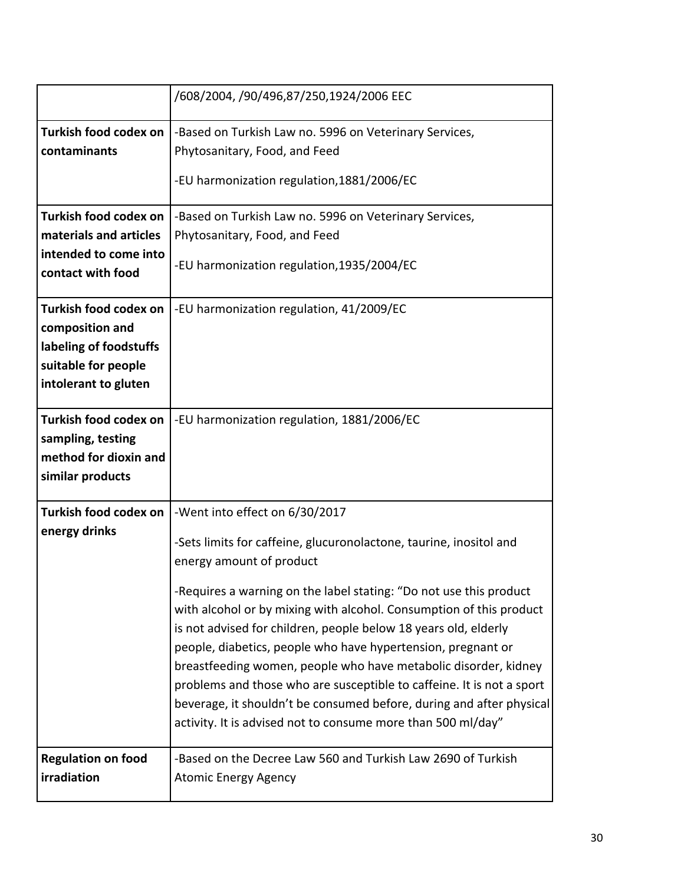|                                                                                                                   | /608/2004, /90/496,87/250,1924/2006 EEC                                                                                                                                                                                                                                                                                                                                                                                                                                                                                                                          |
|-------------------------------------------------------------------------------------------------------------------|------------------------------------------------------------------------------------------------------------------------------------------------------------------------------------------------------------------------------------------------------------------------------------------------------------------------------------------------------------------------------------------------------------------------------------------------------------------------------------------------------------------------------------------------------------------|
| Turkish food codex on                                                                                             | -Based on Turkish Law no. 5996 on Veterinary Services,                                                                                                                                                                                                                                                                                                                                                                                                                                                                                                           |
| contaminants                                                                                                      | Phytosanitary, Food, and Feed                                                                                                                                                                                                                                                                                                                                                                                                                                                                                                                                    |
|                                                                                                                   | -EU harmonization regulation, 1881/2006/EC                                                                                                                                                                                                                                                                                                                                                                                                                                                                                                                       |
| Turkish food codex on                                                                                             | -Based on Turkish Law no. 5996 on Veterinary Services,                                                                                                                                                                                                                                                                                                                                                                                                                                                                                                           |
| materials and articles                                                                                            | Phytosanitary, Food, and Feed                                                                                                                                                                                                                                                                                                                                                                                                                                                                                                                                    |
| intended to come into<br>contact with food                                                                        | -EU harmonization regulation, 1935/2004/EC                                                                                                                                                                                                                                                                                                                                                                                                                                                                                                                       |
| Turkish food codex on<br>composition and<br>labeling of foodstuffs<br>suitable for people<br>intolerant to gluten | -EU harmonization regulation, 41/2009/EC                                                                                                                                                                                                                                                                                                                                                                                                                                                                                                                         |
| Turkish food codex on<br>sampling, testing<br>method for dioxin and<br>similar products                           | -EU harmonization regulation, 1881/2006/EC                                                                                                                                                                                                                                                                                                                                                                                                                                                                                                                       |
| Turkish food codex on                                                                                             | -Went into effect on 6/30/2017                                                                                                                                                                                                                                                                                                                                                                                                                                                                                                                                   |
| energy drinks                                                                                                     | -Sets limits for caffeine, glucuronolactone, taurine, inositol and<br>energy amount of product                                                                                                                                                                                                                                                                                                                                                                                                                                                                   |
|                                                                                                                   | -Requires a warning on the label stating: "Do not use this product<br>with alcohol or by mixing with alcohol. Consumption of this product<br>is not advised for children, people below 18 years old, elderly<br>people, diabetics, people who have hypertension, pregnant or<br>breastfeeding women, people who have metabolic disorder, kidney<br>problems and those who are susceptible to caffeine. It is not a sport<br>beverage, it shouldn't be consumed before, during and after physical<br>activity. It is advised not to consume more than 500 ml/day" |
| <b>Regulation on food</b><br>irradiation                                                                          | -Based on the Decree Law 560 and Turkish Law 2690 of Turkish<br><b>Atomic Energy Agency</b>                                                                                                                                                                                                                                                                                                                                                                                                                                                                      |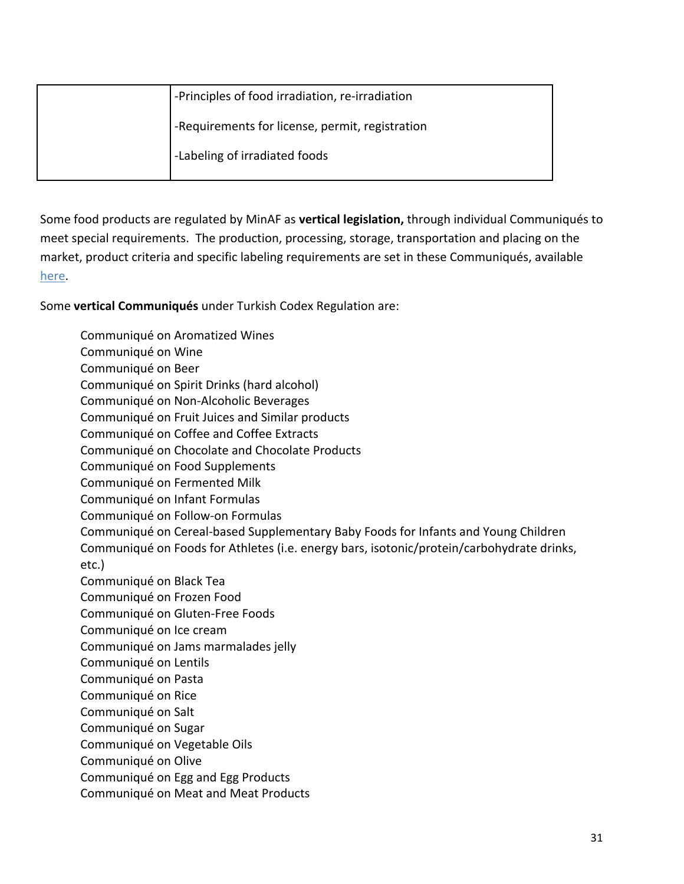| -Principles of food irradiation, re-irradiation |
|-------------------------------------------------|
| -Requirements for license, permit, registration |
| -Labeling of irradiated foods                   |

Some food products are regulated by MinAF as **vertical legislation,** through individual Communiqués to meet special requirements. The production, processing, storage, transportation and placing on the market, product criteria and specific labeling requirements are set in these Communiqués, available [here](https://kms.kaysis.gov.tr/Home/Kurum/24308110).

Some **vertical Communiqués** under Turkish Codex Regulation are:

Communiqué on Aromatized Wines Communiqué on Wine Communiqué on Beer Communiqué on Spirit Drinks (hard alcohol) Communiqué on Non-Alcoholic Beverages Communiqué on Fruit Juices and Similar products Communiqué on Coffee and Coffee Extracts Communiqué on Chocolate and Chocolate Products Communiqué on Food Supplements Communiqué on Fermented Milk Communiqué on Infant Formulas Communiqué on Follow-on Formulas Communiqué on Cereal-based Supplementary Baby Foods for Infants and Young Children Communiqué on Foods for Athletes (i.e. energy bars, isotonic/protein/carbohydrate drinks, etc.) Communiqué on Black Tea Communiqué on Frozen Food Communiqué on Gluten-Free Foods Communiqué on Ice cream Communiqué on Jams marmalades jelly Communiqué on Lentils Communiqué on Pasta Communiqué on Rice Communiqué on Salt Communiqué on Sugar Communiqué on Vegetable Oils Communiqué on Olive Communiqué on Egg and Egg Products Communiqué on Meat and Meat Products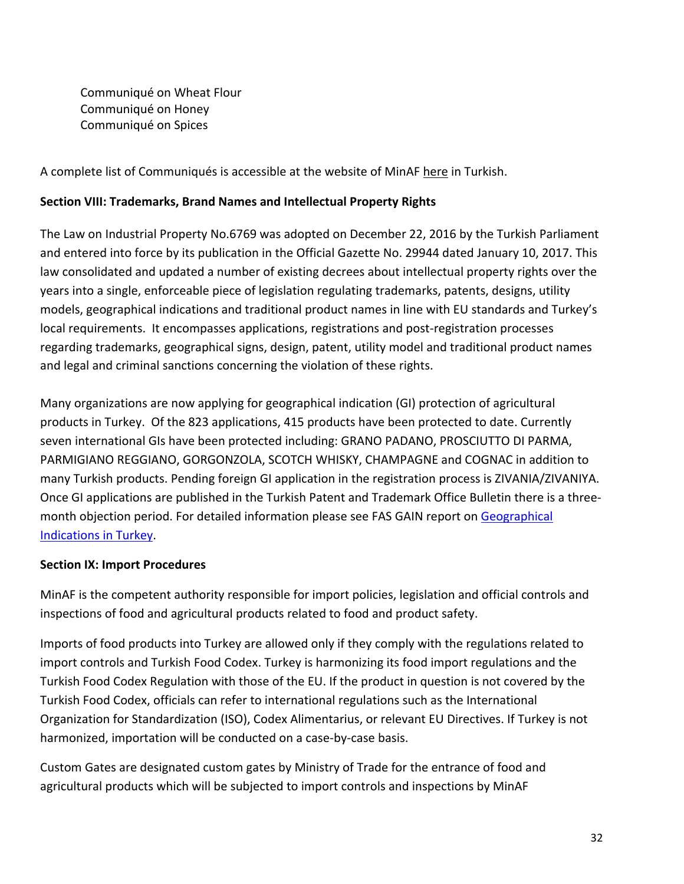Communiqué on Wheat Flour Communiqué on Honey Communiqué on Spices

A complete list of Communiqués is accessible at the website of MinAF [here](https://kms.kaysis.gov.tr/Home/Kurum/24308110) in Turkish.

### **Section VIII: Trademarks, Brand Names and Intellectual Property Rights**

The Law on Industrial Property No.6769 was adopted on December 22, 2016 by the Turkish Parliament and entered into force by its publication in the Official Gazette No. 29944 dated January 10, 2017. This law consolidated and updated a number of existing decrees about intellectual property rights over the years into a single, enforceable piece of legislation regulating trademarks, patents, designs, utility models, geographical indications and traditional product names in line with EU standards and Turkey's local requirements. It encompasses applications, registrations and post-registration processes regarding trademarks, geographical signs, design, patent, utility model and traditional product names and legal and criminal sanctions concerning the violation of these rights.

Many organizations are now applying for geographical indication (GI) protection of agricultural products in Turkey. Of the 823 applications, 415 products have been protected to date. Currently seven international GIs have been protected including: GRANO PADANO, PROSCIUTTO DI PARMA, PARMIGIANO REGGIANO, GORGONZOLA, SCOTCH WHISKY, CHAMPAGNE and COGNAC in addition to many Turkish products. Pending foreign GI application in the registration process is ZIVANIA/ZIVANIYA. Once GI applications are published in the Turkish Patent and Trademark Office Bulletin there is a threemonth objection period. For detailed information please see FAS GAIN report on [Geographical](https://gain.fas.usda.gov/#/search)  [Indications in Turkey.](https://gain.fas.usda.gov/#/search)

### **Section IX: Import Procedures**

MinAF is the competent authority responsible for import policies, legislation and official controls and inspections of food and agricultural products related to food and product safety.

Imports of food products into Turkey are allowed only if they comply with the regulations related to import controls and Turkish Food Codex. Turkey is harmonizing its food import regulations and the Turkish Food Codex Regulation with those of the EU. If the product in question is not covered by the Turkish Food Codex, officials can refer to international regulations such as the International Organization for Standardization (ISO), Codex Alimentarius, or relevant EU Directives. If Turkey is not harmonized, importation will be conducted on a case-by-case basis.

Custom Gates are designated custom gates by Ministry of Trade for the entrance of food and agricultural products which will be subjected to import controls and inspections by MinAF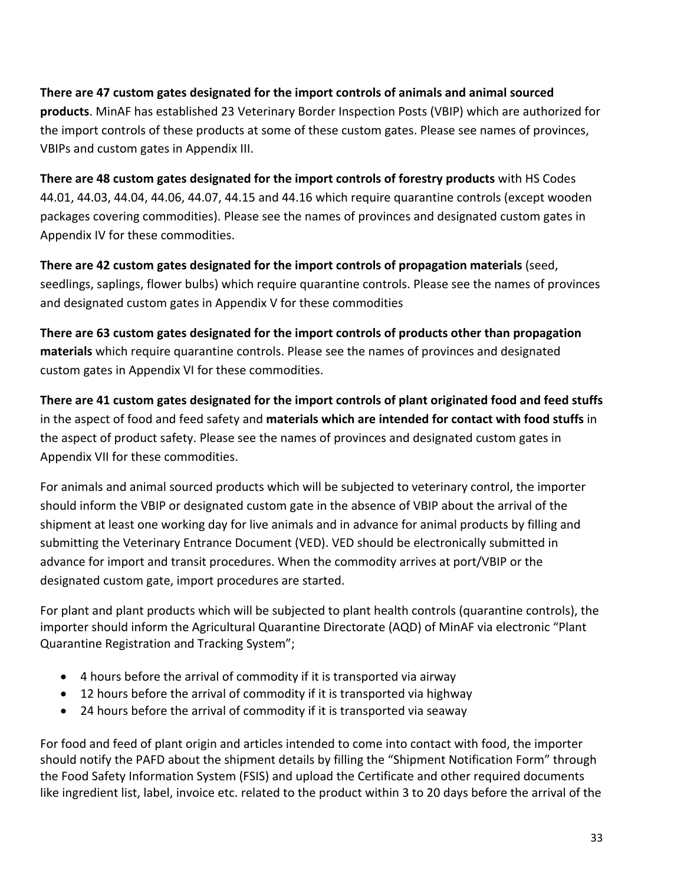**There are 47 custom gates designated for the import controls of animals and animal sourced products**. MinAF has established 23 Veterinary Border Inspection Posts (VBIP) which are authorized for the import controls of these products at some of these custom gates. Please see names of provinces, VBIPs and custom gates in Appendix III.

**There are 48 custom gates designated for the import controls of forestry products** with HS Codes 44.01, 44.03, 44.04, 44.06, 44.07, 44.15 and 44.16 which require quarantine controls (except wooden packages covering commodities). Please see the names of provinces and designated custom gates in Appendix IV for these commodities.

**There are 42 custom gates designated for the import controls of propagation materials** (seed, seedlings, saplings, flower bulbs) which require quarantine controls. Please see the names of provinces and designated custom gates in Appendix V for these commodities

**There are 63 custom gates designated for the import controls of products other than propagation materials** which require quarantine controls. Please see the names of provinces and designated custom gates in Appendix VI for these commodities.

**There are 41 custom gates designated for the import controls of plant originated food and feed stuffs** in the aspect of food and feed safety and **materials which are intended for contact with food stuffs** in the aspect of product safety. Please see the names of provinces and designated custom gates in Appendix VII for these commodities.

For animals and animal sourced products which will be subjected to veterinary control, the importer should inform the VBIP or designated custom gate in the absence of VBIP about the arrival of the shipment at least one working day for live animals and in advance for animal products by filling and submitting the Veterinary Entrance Document (VED). VED should be electronically submitted in advance for import and transit procedures. When the commodity arrives at port/VBIP or the designated custom gate, import procedures are started.

For plant and plant products which will be subjected to plant health controls (quarantine controls), the importer should inform the Agricultural Quarantine Directorate (AQD) of MinAF via electronic "Plant Quarantine Registration and Tracking System";

- 4 hours before the arrival of commodity if it is transported via airway
- 12 hours before the arrival of commodity if it is transported via highway
- 24 hours before the arrival of commodity if it is transported via seaway

For food and feed of plant origin and articles intended to come into contact with food, the importer should notify the PAFD about the shipment details by filling the "Shipment Notification Form" through the Food Safety Information System (FSIS) and upload the Certificate and other required documents like ingredient list, label, invoice etc. related to the product within 3 to 20 days before the arrival of the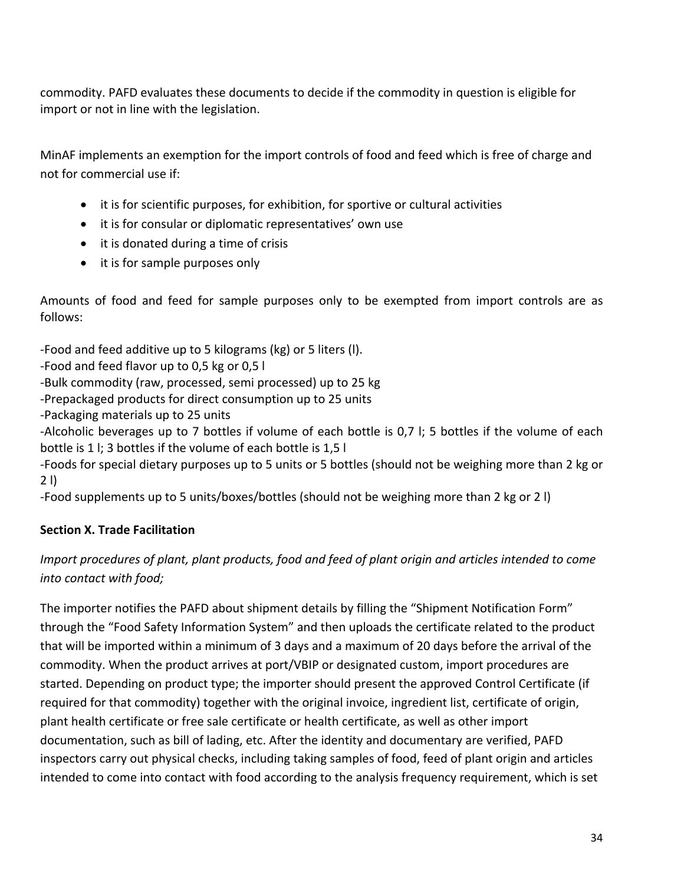commodity. PAFD evaluates these documents to decide if the commodity in question is eligible for import or not in line with the legislation.

MinAF implements an exemption for the import controls of food and feed which is free of charge and not for commercial use if:

- it is for scientific purposes, for exhibition, for sportive or cultural activities
- it is for consular or diplomatic representatives' own use
- it is donated during a time of crisis
- it is for sample purposes only

Amounts of food and feed for sample purposes only to be exempted from import controls are as follows:

-Food and feed additive up to 5 kilograms (kg) or 5 liters (l).

-Food and feed flavor up to 0,5 kg or 0,5 l

-Bulk commodity (raw, processed, semi processed) up to 25 kg

-Prepackaged products for direct consumption up to 25 units

-Packaging materials up to 25 units

-Alcoholic beverages up to 7 bottles if volume of each bottle is 0,7 l; 5 bottles if the volume of each bottle is 1 l; 3 bottles if the volume of each bottle is 1,5 l

-Foods for special dietary purposes up to 5 units or 5 bottles (should not be weighing more than 2 kg or 2 l)

-Food supplements up to 5 units/boxes/bottles (should not be weighing more than 2 kg or 2 l)

# **Section X. Trade Facilitation**

# *Import procedures of plant, plant products, food and feed of plant origin and articles intended to come into contact with food;*

The importer notifies the PAFD about shipment details by filling the "Shipment Notification Form" through the "Food Safety Information System" and then uploads the certificate related to the product that will be imported within a minimum of 3 days and a maximum of 20 days before the arrival of the commodity. When the product arrives at port/VBIP or designated custom, import procedures are started. Depending on product type; the importer should present the approved Control Certificate (if required for that commodity) together with the original invoice, ingredient list, certificate of origin, plant health certificate or free sale certificate or health certificate, as well as other import documentation, such as bill of lading, etc. After the identity and documentary are verified, PAFD inspectors carry out physical checks, including taking samples of food, feed of plant origin and articles intended to come into contact with food according to the analysis frequency requirement, which is set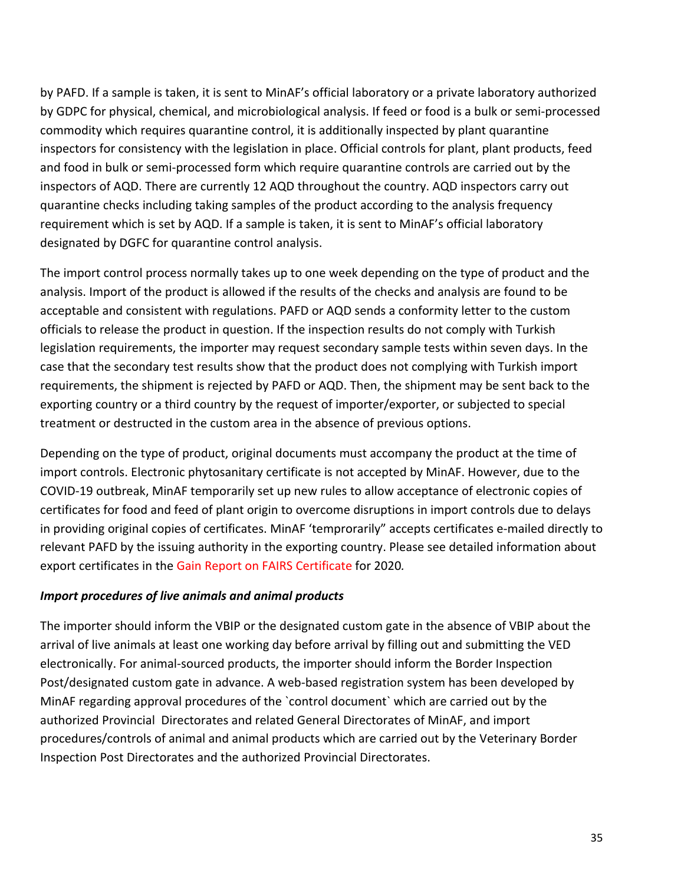by PAFD. If a sample is taken, it is sent to MinAF's official laboratory or a private laboratory authorized by GDPC for physical, chemical, and microbiological analysis. If feed or food is a bulk or semi-processed commodity which requires quarantine control, it is additionally inspected by plant quarantine inspectors for consistency with the legislation in place. Official controls for plant, plant products, feed and food in bulk or semi-processed form which require quarantine controls are carried out by the inspectors of AQD. There are currently 12 AQD throughout the country. AQD inspectors carry out quarantine checks including taking samples of the product according to the analysis frequency requirement which is set by AQD. If a sample is taken, it is sent to MinAF's official laboratory designated by DGFC for quarantine control analysis.

The import control process normally takes up to one week depending on the type of product and the analysis. Import of the product is allowed if the results of the checks and analysis are found to be acceptable and consistent with regulations. PAFD or AQD sends a conformity letter to the custom officials to release the product in question. If the inspection results do not comply with Turkish legislation requirements, the importer may request secondary sample tests within seven days. In the case that the secondary test results show that the product does not complying with Turkish import requirements, the shipment is rejected by PAFD or AQD. Then, the shipment may be sent back to the exporting country or a third country by the request of importer/exporter, or subjected to special treatment or destructed in the custom area in the absence of previous options.

Depending on the type of product, original documents must accompany the product at the time of import controls. Electronic phytosanitary certificate is not accepted by MinAF. However, due to the COVID-19 outbreak, MinAF temporarily set up new rules to allow acceptance of electronic copies of certificates for food and feed of plant origin to overcome disruptions in import controls due to delays in providing original copies of certificates. MinAF 'temprorarily" accepts certificates e-mailed directly to relevant PAFD by the issuing authority in the exporting country. Please see detailed information about export certificates in the Gain Report on FAIRS Certificate for 2020*.*

### *Import procedures of live animals and animal products*

The importer should inform the VBIP or the designated custom gate in the absence of VBIP about the arrival of live animals at least one working day before arrival by filling out and submitting the VED electronically. For animal-sourced products, the importer should inform the Border Inspection Post/designated custom gate in advance. A web-based registration system has been developed by MinAF regarding approval procedures of the `control document` which are carried out by the authorized Provincial Directorates and related General Directorates of MinAF, and import procedures/controls of animal and animal products which are carried out by the Veterinary Border Inspection Post Directorates and the authorized Provincial Directorates.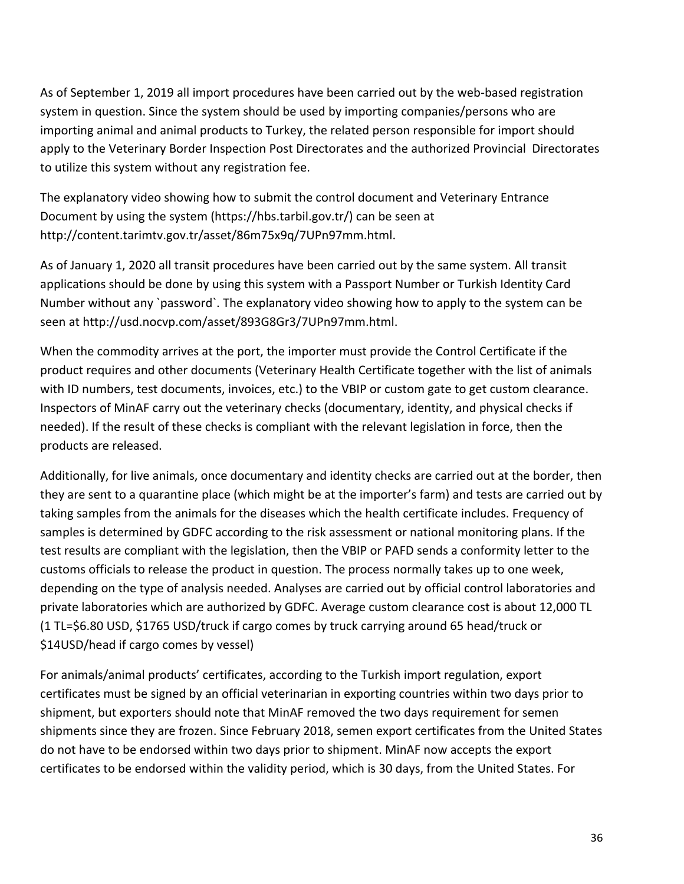As of September 1, 2019 all import procedures have been carried out by the web-based registration system in question. Since the system should be used by importing companies/persons who are importing animal and animal products to Turkey, the related person responsible for import should apply to the Veterinary Border Inspection Post Directorates and the authorized Provincial Directorates to utilize this system without any registration fee.

The explanatory video showing how to submit the control document and Veterinary Entrance Document by using the system (https://hbs.tarbil.gov.tr/) can be seen at http://content.tarimtv.gov.tr/asset/86m75x9q/7UPn97mm.html.

As of January 1, 2020 all transit procedures have been carried out by the same system. All transit applications should be done by using this system with a Passport Number or Turkish Identity Card Number without any `password`. The explanatory video showing how to apply to the system can be seen at http://usd.nocvp.com/asset/893G8Gr3/7UPn97mm.html.

When the commodity arrives at the port, the importer must provide the Control Certificate if the product requires and other documents (Veterinary Health Certificate together with the list of animals with ID numbers, test documents, invoices, etc.) to the VBIP or custom gate to get custom clearance. Inspectors of MinAF carry out the veterinary checks (documentary, identity, and physical checks if needed). If the result of these checks is compliant with the relevant legislation in force, then the products are released.

Additionally, for live animals, once documentary and identity checks are carried out at the border, then they are sent to a quarantine place (which might be at the importer's farm) and tests are carried out by taking samples from the animals for the diseases which the health certificate includes. Frequency of samples is determined by GDFC according to the risk assessment or national monitoring plans. If the test results are compliant with the legislation, then the VBIP or PAFD sends a conformity letter to the customs officials to release the product in question. The process normally takes up to one week, depending on the type of analysis needed. Analyses are carried out by official control laboratories and private laboratories which are authorized by GDFC. Average custom clearance cost is about 12,000 TL (1 TL=\$6.80 USD, \$1765 USD/truck if cargo comes by truck carrying around 65 head/truck or \$14USD/head if cargo comes by vessel)

For animals/animal products' certificates, according to the Turkish import regulation, export certificates must be signed by an official veterinarian in exporting countries within two days prior to shipment, but exporters should note that MinAF removed the two days requirement for semen shipments since they are frozen. Since February 2018, semen export certificates from the United States do not have to be endorsed within two days prior to shipment. MinAF now accepts the export certificates to be endorsed within the validity period, which is 30 days, from the United States. For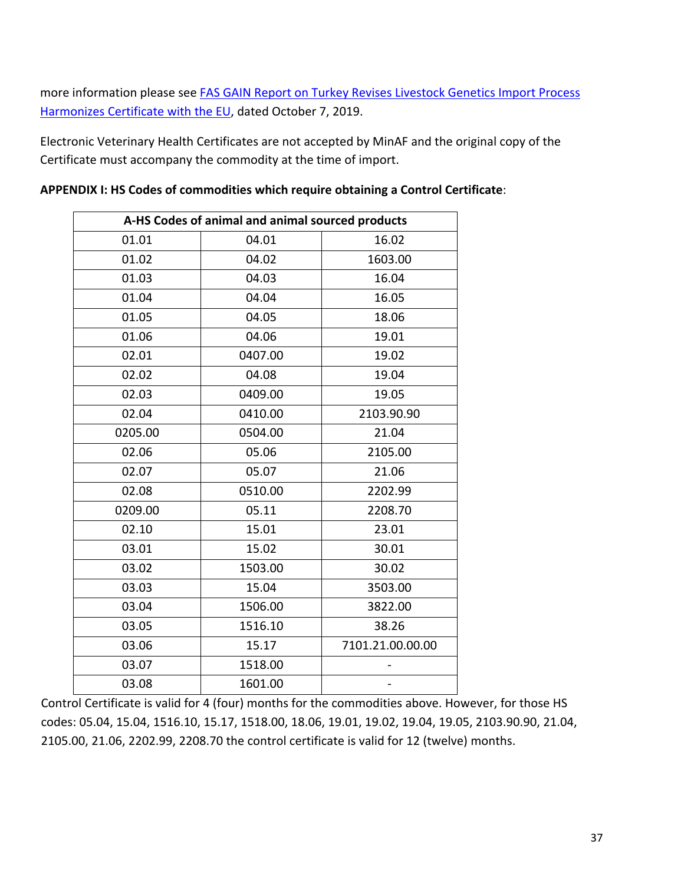more information please see [FAS GAIN Report on Turkey Revises Livestock Genetics Import Process](https://gain.fas.usda.gov/#/search)  [Harmonizes Certificate with the EU,](https://gain.fas.usda.gov/#/search) dated October 7, 2019.

Electronic Veterinary Health Certificates are not accepted by MinAF and the original copy of the Certificate must accompany the commodity at the time of import.

| A-HS Codes of animal and animal sourced products |         |                  |  |
|--------------------------------------------------|---------|------------------|--|
| 01.01                                            | 04.01   | 16.02            |  |
| 01.02                                            | 04.02   | 1603.00          |  |
| 01.03                                            | 04.03   | 16.04            |  |
| 01.04                                            | 04.04   | 16.05            |  |
| 01.05                                            | 04.05   | 18.06            |  |
| 01.06                                            | 04.06   | 19.01            |  |
| 02.01                                            | 0407.00 | 19.02            |  |
| 02.02                                            | 04.08   | 19.04            |  |
| 02.03                                            | 0409.00 | 19.05            |  |
| 02.04                                            | 0410.00 | 2103.90.90       |  |
| 0205.00                                          | 0504.00 | 21.04            |  |
| 02.06                                            | 05.06   | 2105.00          |  |
| 02.07                                            | 05.07   | 21.06            |  |
| 02.08                                            | 0510.00 | 2202.99          |  |
| 0209.00                                          | 05.11   | 2208.70          |  |
| 02.10                                            | 15.01   | 23.01            |  |
| 03.01                                            | 15.02   | 30.01            |  |
| 03.02                                            | 1503.00 | 30.02            |  |
| 03.03                                            | 15.04   | 3503.00          |  |
| 03.04                                            | 1506.00 | 3822.00          |  |
| 03.05                                            | 1516.10 | 38.26            |  |
| 03.06                                            | 15.17   | 7101.21.00.00.00 |  |
| 03.07                                            | 1518.00 |                  |  |
| 03.08                                            | 1601.00 |                  |  |

**APPENDIX I: HS Codes of commodities which require obtaining a Control Certificate**:

Control Certificate is valid for 4 (four) months for the commodities above. However, for those HS codes: 05.04, 15.04, 1516.10, 15.17, 1518.00, 18.06, 19.01, 19.02, 19.04, 19.05, 2103.90.90, 21.04, 2105.00, 21.06, 2202.99, 2208.70 the control certificate is valid for 12 (twelve) months.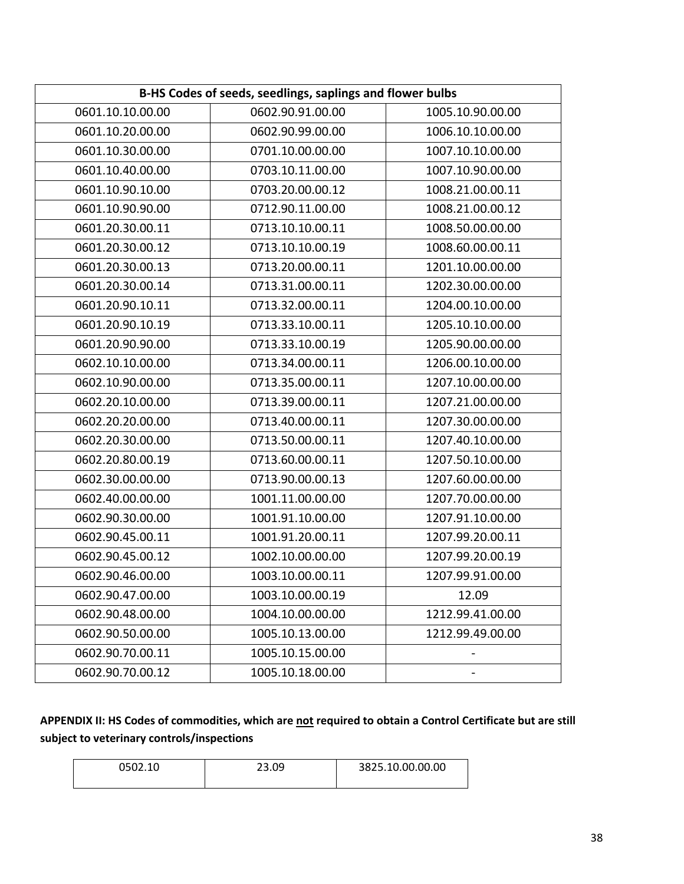| B-HS Codes of seeds, seedlings, saplings and flower bulbs |                  |                  |  |
|-----------------------------------------------------------|------------------|------------------|--|
| 0601.10.10.00.00                                          | 0602.90.91.00.00 | 1005.10.90.00.00 |  |
| 0601.10.20.00.00                                          | 0602.90.99.00.00 | 1006.10.10.00.00 |  |
| 0601.10.30.00.00                                          | 0701.10.00.00.00 | 1007.10.10.00.00 |  |
| 0601.10.40.00.00                                          | 0703.10.11.00.00 | 1007.10.90.00.00 |  |
| 0601.10.90.10.00                                          | 0703.20.00.00.12 | 1008.21.00.00.11 |  |
| 0601.10.90.90.00                                          | 0712.90.11.00.00 | 1008.21.00.00.12 |  |
| 0601.20.30.00.11                                          | 0713.10.10.00.11 | 1008.50.00.00.00 |  |
| 0601.20.30.00.12                                          | 0713.10.10.00.19 | 1008.60.00.00.11 |  |
| 0601.20.30.00.13                                          | 0713.20.00.00.11 | 1201.10.00.00.00 |  |
| 0601.20.30.00.14                                          | 0713.31.00.00.11 | 1202.30.00.00.00 |  |
| 0601.20.90.10.11                                          | 0713.32.00.00.11 | 1204.00.10.00.00 |  |
| 0601.20.90.10.19                                          | 0713.33.10.00.11 | 1205.10.10.00.00 |  |
| 0601.20.90.90.00                                          | 0713.33.10.00.19 | 1205.90.00.00.00 |  |
| 0602.10.10.00.00                                          | 0713.34.00.00.11 | 1206.00.10.00.00 |  |
| 0602.10.90.00.00                                          | 0713.35.00.00.11 | 1207.10.00.00.00 |  |
| 0602.20.10.00.00                                          | 0713.39.00.00.11 | 1207.21.00.00.00 |  |
| 0602.20.20.00.00                                          | 0713.40.00.00.11 | 1207.30.00.00.00 |  |
| 0602.20.30.00.00                                          | 0713.50.00.00.11 | 1207.40.10.00.00 |  |
| 0602.20.80.00.19                                          | 0713.60.00.00.11 | 1207.50.10.00.00 |  |
| 0602.30.00.00.00                                          | 0713.90.00.00.13 | 1207.60.00.00.00 |  |
| 0602.40.00.00.00                                          | 1001.11.00.00.00 | 1207.70.00.00.00 |  |
| 0602.90.30.00.00                                          | 1001.91.10.00.00 | 1207.91.10.00.00 |  |
| 0602.90.45.00.11                                          | 1001.91.20.00.11 | 1207.99.20.00.11 |  |
| 0602.90.45.00.12                                          | 1002.10.00.00.00 | 1207.99.20.00.19 |  |
| 0602.90.46.00.00                                          | 1003.10.00.00.11 | 1207.99.91.00.00 |  |
| 0602.90.47.00.00                                          | 1003.10.00.00.19 | 12.09            |  |
| 0602.90.48.00.00                                          | 1004.10.00.00.00 | 1212.99.41.00.00 |  |
| 0602.90.50.00.00                                          | 1005.10.13.00.00 | 1212.99.49.00.00 |  |
| 0602.90.70.00.11                                          | 1005.10.15.00.00 |                  |  |
| 0602.90.70.00.12                                          | 1005.10.18.00.00 |                  |  |

# **APPENDIX II: HS Codes of commodities, which are not required to obtain a Control Certificate but are still subject to veterinary controls/inspections**

| 0502.10 | 23.09 | 3825.10.00.00.00 |
|---------|-------|------------------|
|         |       |                  |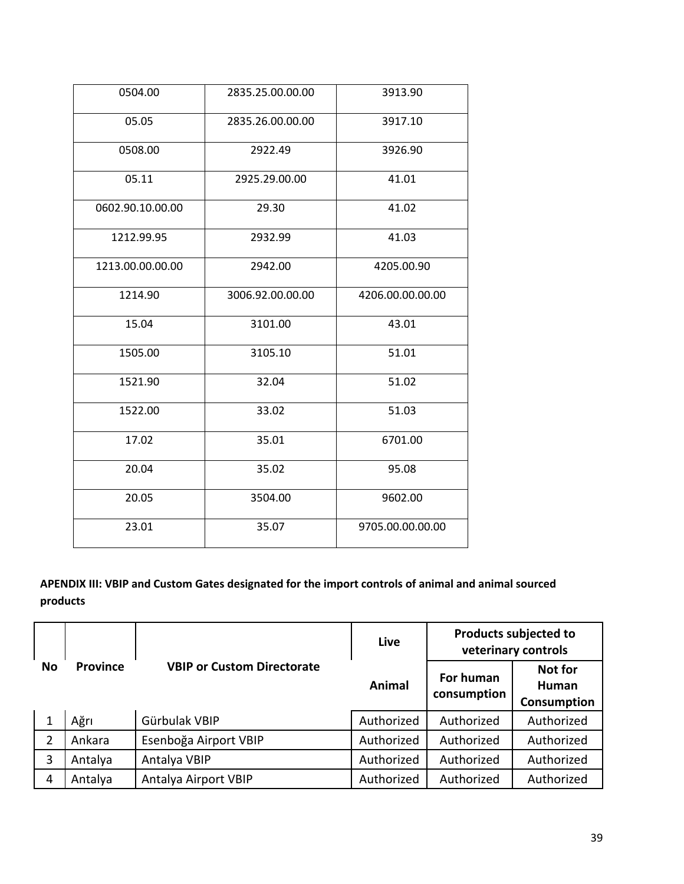| 0504.00          | 2835.25.00.00.00 | 3913.90          |
|------------------|------------------|------------------|
| 05.05            | 2835.26.00.00.00 | 3917.10          |
| 0508.00          | 2922.49          | 3926.90          |
| 05.11            | 2925.29.00.00    | 41.01            |
| 0602.90.10.00.00 | 29.30            | 41.02            |
| 1212.99.95       | 2932.99          | 41.03            |
| 1213.00.00.00.00 | 2942.00          | 4205.00.90       |
| 1214.90          | 3006.92.00.00.00 | 4206.00.00.00.00 |
| 15.04            | 3101.00          | 43.01            |
| 1505.00          | 3105.10          | 51.01            |
| 1521.90          | 32.04            | 51.02            |
| 1522.00          | 33.02            | 51.03            |
| 17.02            | 35.01            | 6701.00          |
| 20.04            | 35.02            | 95.08            |
| 20.05            | 3504.00          | 9602.00          |
| 23.01            | 35.07            | 9705.00.00.00.00 |

# **APENDIX III: VBIP and Custom Gates designated for the import controls of animal and animal sourced products**

|                |                 |                                   | Live       |                          | <b>Products subjected to</b><br>veterinary controls |
|----------------|-----------------|-----------------------------------|------------|--------------------------|-----------------------------------------------------|
| <b>No</b>      | <b>Province</b> | <b>VBIP or Custom Directorate</b> | Animal     | For human<br>consumption | <b>Not for</b><br>Human<br>Consumption              |
|                | Ağrı            | Gürbulak VBIP                     | Authorized | Authorized               | Authorized                                          |
| $\overline{2}$ | Ankara          | Esenboğa Airport VBIP             | Authorized | Authorized               | Authorized                                          |
| 3              | Antalya         | Antalya VBIP                      | Authorized | Authorized               | Authorized                                          |
| 4              | Antalya         | Antalya Airport VBIP              | Authorized | Authorized               | Authorized                                          |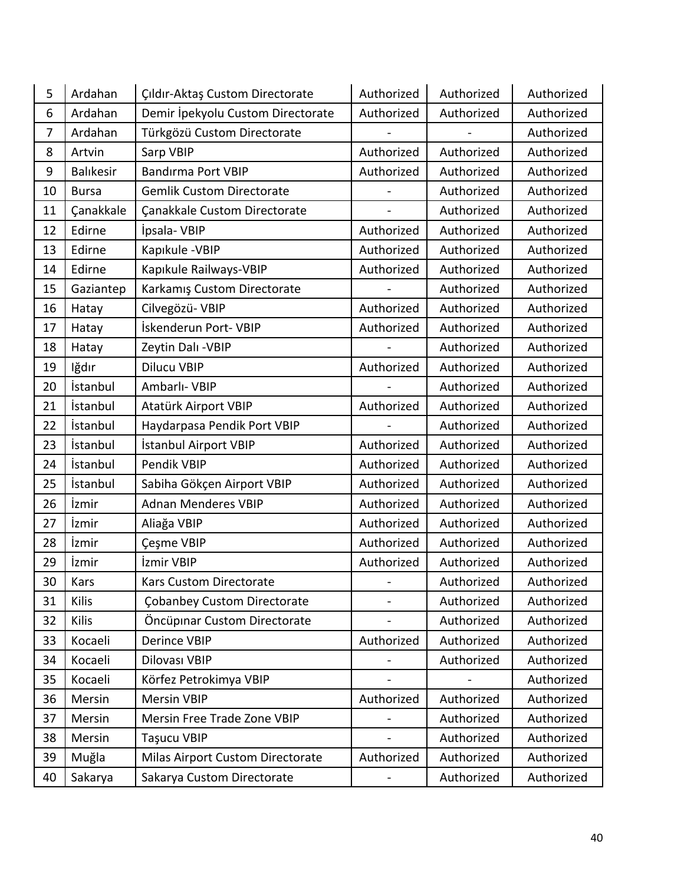| 5              | Ardahan         | Çıldır-Aktaş Custom Directorate    | Authorized | Authorized | Authorized |
|----------------|-----------------|------------------------------------|------------|------------|------------|
| 6              | Ardahan         | Demir İpekyolu Custom Directorate  | Authorized | Authorized | Authorized |
| $\overline{7}$ | Ardahan         | Türkgözü Custom Directorate        |            |            | Authorized |
| 8              | Artvin          | Sarp VBIP                          | Authorized | Authorized | Authorized |
| 9              | Balıkesir       | <b>Bandırma Port VBIP</b>          | Authorized | Authorized | Authorized |
| 10             | <b>Bursa</b>    | <b>Gemlik Custom Directorate</b>   |            | Authorized | Authorized |
| 11             | Çanakkale       | Çanakkale Custom Directorate       |            | Authorized | Authorized |
| 12             | Edirne          | İpsala-VBIP                        | Authorized | Authorized | Authorized |
| 13             | Edirne          | Kapıkule - VBIP                    | Authorized | Authorized | Authorized |
| 14             | Edirne          | Kapıkule Railways-VBIP             | Authorized | Authorized | Authorized |
| 15             | Gaziantep       | Karkamış Custom Directorate        |            | Authorized | Authorized |
| 16             | Hatay           | Cilvegözü- VBIP                    | Authorized | Authorized | Authorized |
| 17             | Hatay           | İskenderun Port- VBIP              | Authorized | Authorized | Authorized |
| 18             | Hatay           | Zeytin Dalı - VBIP                 |            | Authorized | Authorized |
| 19             | lğdır           | <b>Dilucu VBIP</b>                 | Authorized | Authorized | Authorized |
| 20             | İstanbul        | Ambarlı- VBIP                      |            | Authorized | Authorized |
| 21             | İstanbul        | Atatürk Airport VBIP               | Authorized | Authorized | Authorized |
| 22             | <i>istanbul</i> | Haydarpasa Pendik Port VBIP        |            | Authorized | Authorized |
| 23             | İstanbul        | İstanbul Airport VBIP              | Authorized | Authorized | Authorized |
| 24             | İstanbul        | Pendik VBIP                        | Authorized | Authorized | Authorized |
| 25             | İstanbul        | Sabiha Gökçen Airport VBIP         | Authorized | Authorized | Authorized |
| 26             | İzmir           | <b>Adnan Menderes VBIP</b>         | Authorized | Authorized | Authorized |
| 27             | İzmir           | Aliağa VBIP                        | Authorized | Authorized | Authorized |
| 28             | İzmir           | Çeşme VBIP                         | Authorized | Authorized | Authorized |
| 29             | İzmir           | İzmir VBIP                         | Authorized | Authorized | Authorized |
| 30             | Kars            | <b>Kars Custom Directorate</b>     |            | Authorized | Authorized |
| 31             | Kilis           | <b>Çobanbey Custom Directorate</b> |            | Authorized | Authorized |
| 32             | Kilis           | Öncüpinar Custom Directorate       |            | Authorized | Authorized |
| 33             | Kocaeli         | <b>Derince VBIP</b>                | Authorized | Authorized | Authorized |
| 34             | Kocaeli         | Dilovası VBIP                      |            | Authorized | Authorized |
| 35             | Kocaeli         | Körfez Petrokimya VBIP             |            |            | Authorized |
| 36             | Mersin          | <b>Mersin VBIP</b>                 | Authorized | Authorized | Authorized |
| 37             | Mersin          | Mersin Free Trade Zone VBIP        |            | Authorized | Authorized |
| 38             | Mersin          | <b>Taşucu VBIP</b>                 |            | Authorized | Authorized |
| 39             | Muğla           | Milas Airport Custom Directorate   | Authorized | Authorized | Authorized |
| 40             | Sakarya         | Sakarya Custom Directorate         |            | Authorized | Authorized |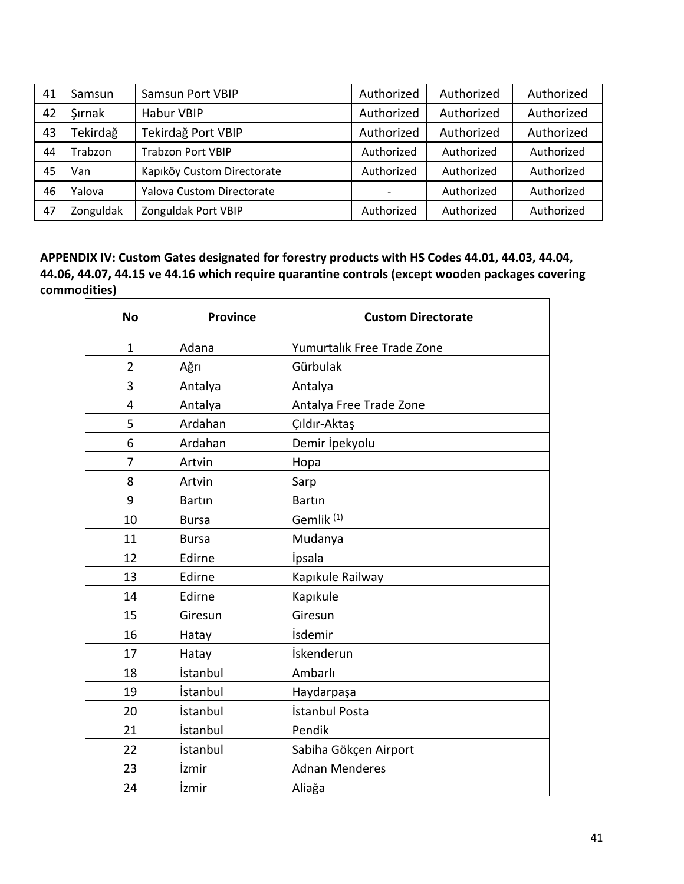| 41 | Samsun    | Samsun Port VBIP                 | Authorized | Authorized | Authorized |
|----|-----------|----------------------------------|------------|------------|------------|
| 42 | Sırnak    | <b>Habur VBIP</b>                | Authorized | Authorized | Authorized |
| 43 | Tekirdağ  | Tekirdağ Port VBIP               | Authorized | Authorized | Authorized |
| 44 | Trabzon   | <b>Trabzon Port VBIP</b>         | Authorized | Authorized | Authorized |
| 45 | Van       | Kapıköy Custom Directorate       | Authorized | Authorized | Authorized |
| 46 | Yalova    | <b>Yalova Custom Directorate</b> |            | Authorized | Authorized |
| 47 | Zonguldak | Zonguldak Port VBIP              | Authorized | Authorized | Authorized |

**APPENDIX IV: Custom Gates designated for forestry products with HS Codes 44.01, 44.03, 44.04, 44.06, 44.07, 44.15 ve 44.16 which require quarantine controls (except wooden packages covering commodities)**

| <b>No</b>      | <b>Province</b> | <b>Custom Directorate</b>  |
|----------------|-----------------|----------------------------|
| $\mathbf{1}$   | Adana           | Yumurtalık Free Trade Zone |
| $\overline{2}$ | Ağrı            | Gürbulak                   |
| 3              | Antalya         | Antalya                    |
| 4              | Antalya         | Antalya Free Trade Zone    |
| 5              | Ardahan         | Çıldır-Aktaş               |
| 6              | Ardahan         | Demir İpekyolu             |
| 7              | Artvin          | Hopa                       |
| 8              | Artvin          | Sarp                       |
| 9              | <b>Bartin</b>   | <b>Bartin</b>              |
| 10             | <b>Bursa</b>    | Gemlik <sup>(1)</sup>      |
| 11             | <b>Bursa</b>    | Mudanya                    |
| 12             | Edirne          | İpsala                     |
| 13             | Edirne          | Kapıkule Railway           |
| 14             | Edirne          | Kapıkule                   |
| 15             | Giresun         | Giresun                    |
| 16             | Hatay           | İsdemir                    |
| 17             | Hatay           | İskenderun                 |
| 18             | İstanbul        | Ambarlı                    |
| 19             | İstanbul        | Haydarpaşa                 |
| 20             | İstanbul        | İstanbul Posta             |
| 21             | İstanbul        | Pendik                     |
| 22             | İstanbul        | Sabiha Gökçen Airport      |
| 23             | İzmir           | <b>Adnan Menderes</b>      |
| 24             | İzmir           | Aliağa                     |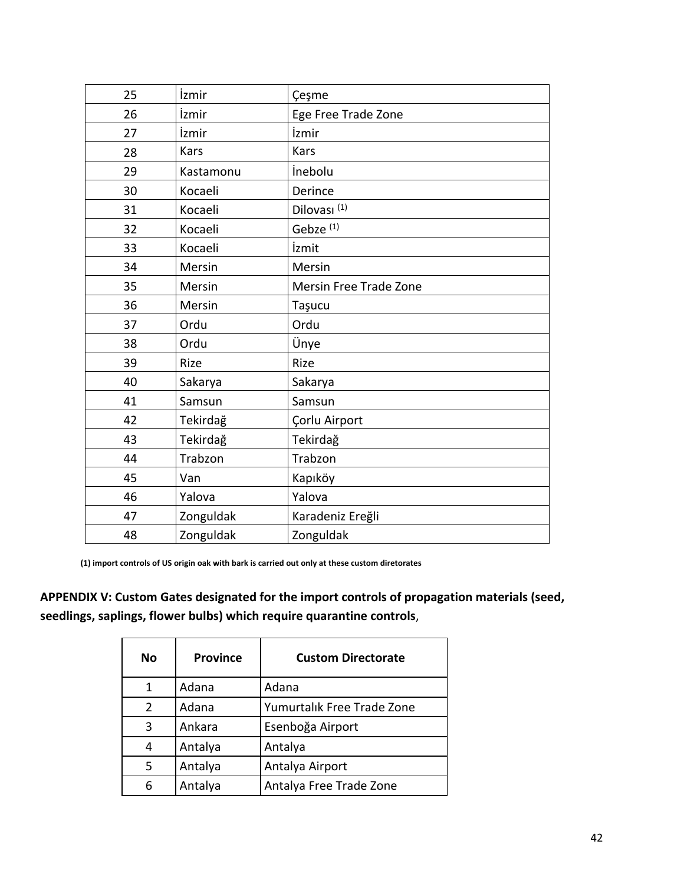| 25 | İzmir     | Çeşme                   |
|----|-----------|-------------------------|
| 26 | İzmir     | Ege Free Trade Zone     |
| 27 | İzmir     | İzmir                   |
| 28 | Kars      | Kars                    |
| 29 | Kastamonu | inebolu                 |
| 30 | Kocaeli   | Derince                 |
| 31 | Kocaeli   | Dilovası <sup>(1)</sup> |
| 32 | Kocaeli   | Gebze <sup>(1)</sup>    |
| 33 | Kocaeli   | İzmit                   |
| 34 | Mersin    | Mersin                  |
| 35 | Mersin    | Mersin Free Trade Zone  |
| 36 | Mersin    | Taşucu                  |
| 37 | Ordu      | Ordu                    |
| 38 | Ordu      | Ünye                    |
| 39 | Rize      | Rize                    |
| 40 | Sakarya   | Sakarya                 |
| 41 | Samsun    | Samsun                  |
| 42 | Tekirdağ  | Çorlu Airport           |
| 43 | Tekirdağ  | Tekirdağ                |
| 44 | Trabzon   | Trabzon                 |
| 45 | Van       | Kapıköy                 |
| 46 | Yalova    | Yalova                  |
| 47 | Zonguldak | Karadeniz Ereğli        |
| 48 | Zonguldak | Zonguldak               |

**(1) import controls of US origin oak with bark is carried out only at these custom diretorates**

**APPENDIX V: Custom Gates designated for the import controls of propagation materials (seed, seedlings, saplings, flower bulbs) which require quarantine controls**,

| No | <b>Province</b> | <b>Custom Directorate</b>  |
|----|-----------------|----------------------------|
| 1  | Adana           | Adana                      |
| 2  | Adana           | Yumurtalık Free Trade Zone |
| 3  | Ankara          | Esenboğa Airport           |
| 4  | Antalya         | Antalya                    |
| 5  | Antalya         | Antalya Airport            |
| 6  | Antalya         | Antalya Free Trade Zone    |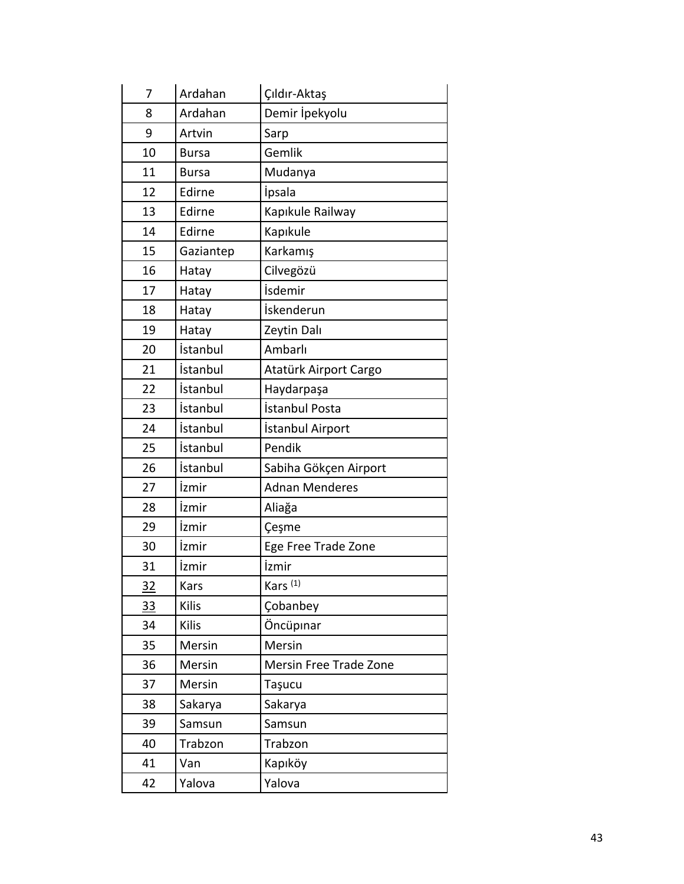| 7  | Ardahan      | Çıldır-Aktaş           |
|----|--------------|------------------------|
| 8  | Ardahan      | Demir İpekyolu         |
| 9  | Artvin       | Sarp                   |
| 10 | <b>Bursa</b> | Gemlik                 |
| 11 | <b>Bursa</b> | Mudanya                |
| 12 | Edirne       | <i>ipsala</i>          |
| 13 | Edirne       | Kapıkule Railway       |
| 14 | Edirne       | Kapıkule               |
| 15 | Gaziantep    | Karkamış               |
| 16 | Hatay        | Cilvegözü              |
| 17 | Hatay        | İsdemir                |
| 18 | Hatay        | İskenderun             |
| 19 | Hatay        | Zeytin Dalı            |
| 20 | İstanbul     | Ambarlı                |
| 21 | İstanbul     | Atatürk Airport Cargo  |
| 22 | İstanbul     | Haydarpaşa             |
| 23 | İstanbul     | İstanbul Posta         |
| 24 | İstanbul     | İstanbul Airport       |
| 25 | İstanbul     | Pendik                 |
| 26 | İstanbul     | Sabiha Gökçen Airport  |
| 27 | İzmir        | <b>Adnan Menderes</b>  |
| 28 | İzmir        | Aliağa                 |
| 29 | İzmir        | Çeşme                  |
| 30 | İzmir        | Ege Free Trade Zone    |
| 31 | İzmir        | İzmir                  |
| 32 | Kars         | Kars <sup>(1)</sup>    |
| 33 | Kilis        | Cobanbey               |
| 34 | Kilis        | Öncüpinar              |
| 35 | Mersin       | Mersin                 |
| 36 | Mersin       | Mersin Free Trade Zone |
| 37 | Mersin       | Taşucu                 |
| 38 | Sakarya      | Sakarya                |
| 39 | Samsun       | Samsun                 |
| 40 | Trabzon      | Trabzon                |
| 41 | Van          | Kapıköy                |
| 42 | Yalova       | Yalova                 |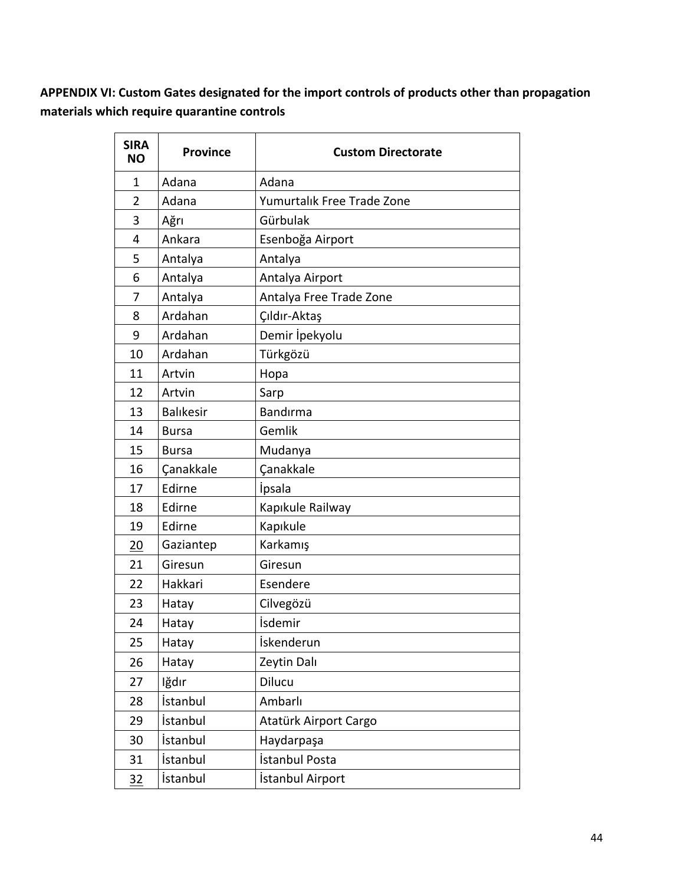**APPENDIX VI: Custom Gates designated for the import controls of products other than propagation materials which require quarantine controls**

 $\overline{\phantom{a}}$ 

| <b>SIRA</b><br><b>NO</b> | <b>Province</b>  | <b>Custom Directorate</b>  |
|--------------------------|------------------|----------------------------|
| 1                        | Adana            | Adana                      |
| $\overline{2}$           | Adana            | Yumurtalık Free Trade Zone |
| 3                        | Ağrı             | Gürbulak                   |
| 4                        | Ankara           | Esenboğa Airport           |
| 5                        | Antalya          | Antalya                    |
| 6                        | Antalya          | Antalya Airport            |
| 7                        | Antalya          | Antalya Free Trade Zone    |
| 8                        | Ardahan          | Çıldır-Aktaş               |
| 9                        | Ardahan          | Demir İpekyolu             |
| 10                       | Ardahan          | Türkgözü                   |
| 11                       | Artvin           | Hopa                       |
| 12                       | Artvin           | Sarp                       |
| 13                       | <b>Balıkesir</b> | Bandırma                   |
| 14                       | <b>Bursa</b>     | Gemlik                     |
| 15                       | <b>Bursa</b>     | Mudanya                    |
| 16                       | Çanakkale        | Canakkale                  |
| 17                       | Edirne           | <i>ipsala</i>              |
| 18                       | Edirne           | Kapıkule Railway           |
| 19                       | Edirne           | Kapıkule                   |
| 20                       | Gaziantep        | Karkamış                   |
| 21                       | Giresun          | Giresun                    |
| 22                       | Hakkari          | Esendere                   |
| 23                       | Hatay            | Cilvegözü                  |
| 24                       | Hatay            | İsdemir                    |
| 25                       | Hatay            | İskenderun                 |
| 26                       | Hatay            | Zeytin Dalı                |
| 27                       | lğdır            | Dilucu                     |
| 28                       | İstanbul         | Ambarlı                    |
| 29                       | İstanbul         | Atatürk Airport Cargo      |
| 30                       | İstanbul         | Haydarpaşa                 |
| 31                       | İstanbul         | İstanbul Posta             |
| 32                       | İstanbul         | İstanbul Airport           |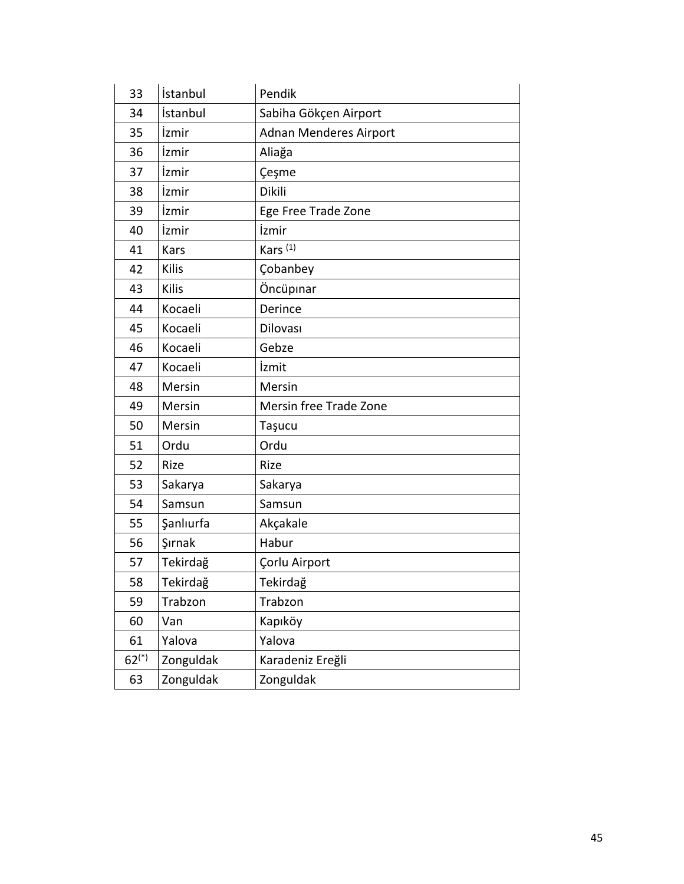| 33         | İstanbul  | Pendik                        |
|------------|-----------|-------------------------------|
| 34         | İstanbul  | Sabiha Gökçen Airport         |
| 35         | İzmir     | <b>Adnan Menderes Airport</b> |
| 36         | İzmir     | Aliağa                        |
| 37         | İzmir     | Çeşme                         |
| 38         | İzmir     | Dikili                        |
| 39         | İzmir     | Ege Free Trade Zone           |
| 40         | İzmir     | İzmir                         |
| 41         | Kars      | Kars $(1)$                    |
| 42         | Kilis     | Çobanbey                      |
| 43         | Kilis     | Öncüpınar                     |
| 44         | Kocaeli   | Derince                       |
| 45         | Kocaeli   | Dilovası                      |
| 46         | Kocaeli   | Gebze                         |
| 47         | Kocaeli   | İzmit                         |
| 48         | Mersin    | Mersin                        |
| 49         | Mersin    | Mersin free Trade Zone        |
| 50         | Mersin    | Taşucu                        |
| 51         | Ordu      | Ordu                          |
| 52         | Rize      | Rize                          |
| 53         | Sakarya   | Sakarya                       |
| 54         | Samsun    | Samsun                        |
| 55         | Şanlıurfa | Akçakale                      |
| 56         | Şırnak    | Habur                         |
| 57         | Tekirdağ  | Çorlu Airport                 |
| 58         | Tekirdağ  | Tekirdağ                      |
| 59         | Trabzon   | Trabzon                       |
| 60         | Van       | Kapıköy                       |
| 61         | Yalova    | Yalova                        |
| $62^{(*)}$ | Zonguldak | Karadeniz Ereğli              |
| 63         | Zonguldak | Zonguldak                     |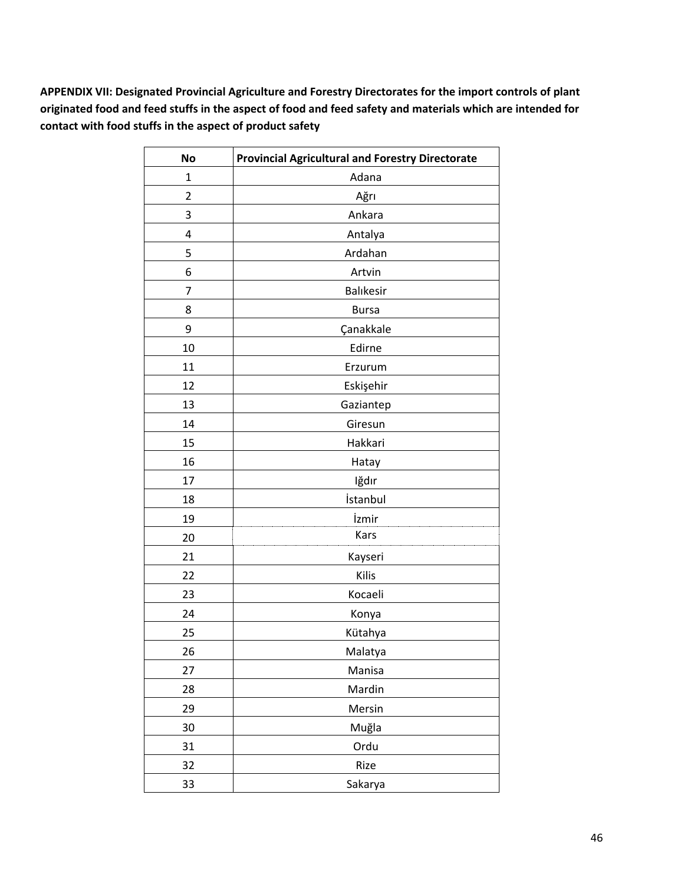**APPENDIX VII: Designated Provincial Agriculture and Forestry Directorates for the import controls of plant originated food and feed stuffs in the aspect of food and feed safety and materials which are intended for contact with food stuffs in the aspect of product safety**

| <b>No</b>      | <b>Provincial Agricultural and Forestry Directorate</b> |
|----------------|---------------------------------------------------------|
| $\mathbf{1}$   | Adana                                                   |
| $\overline{2}$ | Ağrı                                                    |
| 3              | Ankara                                                  |
| 4              | Antalya                                                 |
| 5              | Ardahan                                                 |
| 6              | Artvin                                                  |
| 7              | <b>Balıkesir</b>                                        |
| 8              | <b>Bursa</b>                                            |
| 9              | Çanakkale                                               |
| 10             | Edirne                                                  |
| 11             | Erzurum                                                 |
| 12             | Eskişehir                                               |
| 13             | Gaziantep                                               |
| 14             | Giresun                                                 |
| 15             | Hakkari                                                 |
| 16             | Hatay                                                   |
| 17             | Iğdır                                                   |
| 18             | İstanbul                                                |
| 19             | İzmir                                                   |
| 20             | Kars                                                    |
| 21             | Kayseri                                                 |
| 22             | Kilis                                                   |
| 23             | Kocaeli                                                 |
| 24             | Konya                                                   |
| 25             | Kütahya                                                 |
| 26             | Malatya                                                 |
| 27             | Manisa                                                  |
| 28             | Mardin                                                  |
| 29             | Mersin                                                  |
| 30             | Muğla                                                   |
| 31             | Ordu                                                    |
| 32             | Rize                                                    |
| 33             | Sakarya                                                 |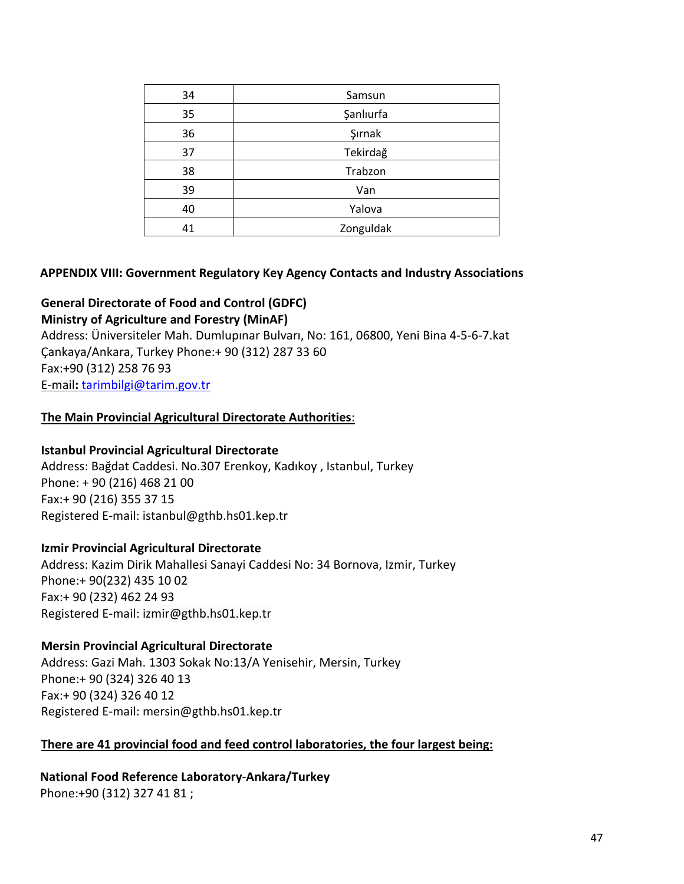| 34 | Samsun    |
|----|-----------|
| 35 | Şanlıurfa |
| 36 | Şırnak    |
|    | Tekirdağ  |
| 38 | Trabzon   |
| 39 | Van       |
|    | Yalova    |
|    | Zonguldak |

### **APPENDIX VIII: Government Regulatory Key Agency Contacts and Industry Associations**

### **General Directorate of Food and Control (GDFC)**

**Ministry of Agriculture and Forestry (MinAF)** 

Address: Üniversiteler Mah. Dumlupınar Bulvarı, No: 161, 06800, Yeni Bina 4-5-6-7.kat Çankaya/Ankara, Turkey Phone:+ 90 (312) 287 33 60 Fax:+90 (312) 258 76 93 E-mail**:** [tarimbilgi@tarim.gov.tr](mailto:tarimbilgi@tarim.gov.tr)

### **The Main Provincial Agricultural Directorate Authorities**:

#### **Istanbul Provincial Agricultural Directorate**

Address: Bağdat Caddesi. No.307 Erenkoy, Kadıkoy , Istanbul, Turkey Phone: + 90 (216) 468 21 00 Fax:+ 90 (216) 355 37 15 Registered E-mail: istanbul@gthb.hs01.kep.tr

#### **Izmir Provincial Agricultural Directorate**

Address: Kazim Dirik Mahallesi Sanayi Caddesi No: 34 Bornova, Izmir, Turkey Phone:+ 90(232) 435 10 02 Fax:+ 90 (232) 462 24 93 Registered E-mail: izmir@gthb.hs01.kep.tr

#### **Mersin Provincial Agricultural Directorate**

Address: Gazi Mah. 1303 Sokak No:13/A Yenisehir, Mersin, Turkey Phone:+ 90 (324) 326 40 13 Fax:+ 90 (324) 326 40 12 Registered E-mail: mersin@gthb.hs01.kep.tr

#### **There are 41 provincial food and feed control laboratories, the four largest being:**

**National Food Reference Laboratory**-**Ankara/Turkey** Phone:+90 (312) 327 41 81 ;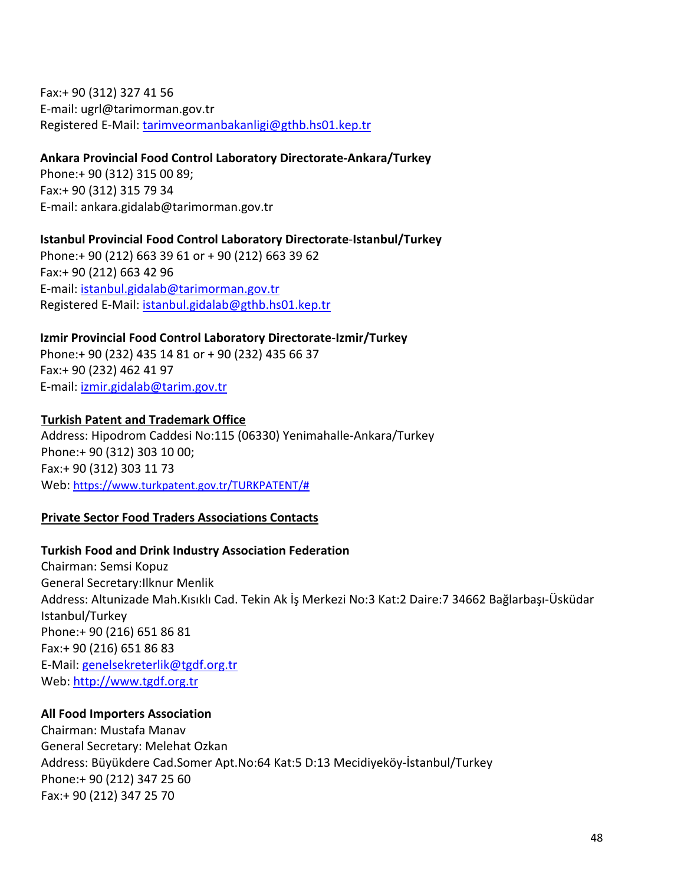Fax:+ 90 (312) 327 41 56 E-mail: ugrl@tarimorman.gov.tr Registered E-Mail: [tarimveormanbakanligi@gthb.hs01.kep.tr](mailto:tarimveormanbakanligi@gthb.hs01.kep.tr)

#### **Ankara Provincial Food Control Laboratory Directorate-Ankara/Turkey**

Phone:+ 90 (312) 315 00 89; Fax:+ 90 (312) 315 79 34 E-mail: ankara.gidalab@tarimorman.gov.tr

# **Istanbul Provincial Food Control Laboratory Directorate**-**Istanbul/Turkey** Phone:+ 90 (212) 663 39 61 or + 90 (212) 663 39 62 Fax:+ 90 (212) 663 42 96 E-mail: [istanbul.gidalab@tarimorman.gov.tr](mailto:istanbul.gidalab@tarimorman.gov.tr)

Registered E-Mail: [istanbul.gidalab@gthb.hs01.kep.tr](mailto:istanbul.gidalab@gthb.hs01.kep.tr)

# **Izmir Provincial Food Control Laboratory Directorate**-**Izmir/Turkey**

Phone:+ 90 (232) 435 14 81 or + 90 (232) 435 66 37 Fax:+ 90 (232) 462 41 97 E-mail: [izmir.gidalab@tarim.gov.tr](mailto:izmir.gidalab@tarim.gov.tr)

### **Turkish Patent and Trademark Office**

Address: Hipodrom Caddesi No:115 (06330) Yenimahalle-Ankara/Turkey Phone:+ 90 (312) 303 10 00; Fax:+ 90 (312) 303 11 73 Web: [https://www.turkpatent.gov.tr/TURKPATENT/#](https://www.turkpatent.gov.tr/TURKPATENT/)

### **Private Sector Food Traders Associations Contacts**

### **Turkish Food and Drink Industry Association Federation**

Chairman: Semsi Kopuz General Secretary:Ilknur Menlik Address: Altunizade Mah.Kısıklı Cad. Tekin Ak İş Merkezi No:3 Kat:2 Daire:7 34662 Bağlarbaşı-Üsküdar Istanbul/Turkey Phone:+ 90 (216) 651 86 81 Fax:+ 90 (216) 651 86 83 E-Mail: [genelsekreterlik@tgdf.org.tr](mailto:genelsekreterlik@tgdf.org.tr) Web: [http://www.tgdf.org.tr](http://www.tgdf.org.tr/)

### **All Food Importers Association**

Chairman: Mustafa Manav General Secretary: Melehat Ozkan Address: Büyükdere Cad.Somer Apt.No:64 Kat:5 D:13 Mecidiyeköy-İstanbul/Turkey Phone:+ 90 (212) 347 25 60 Fax:+ 90 (212) 347 25 70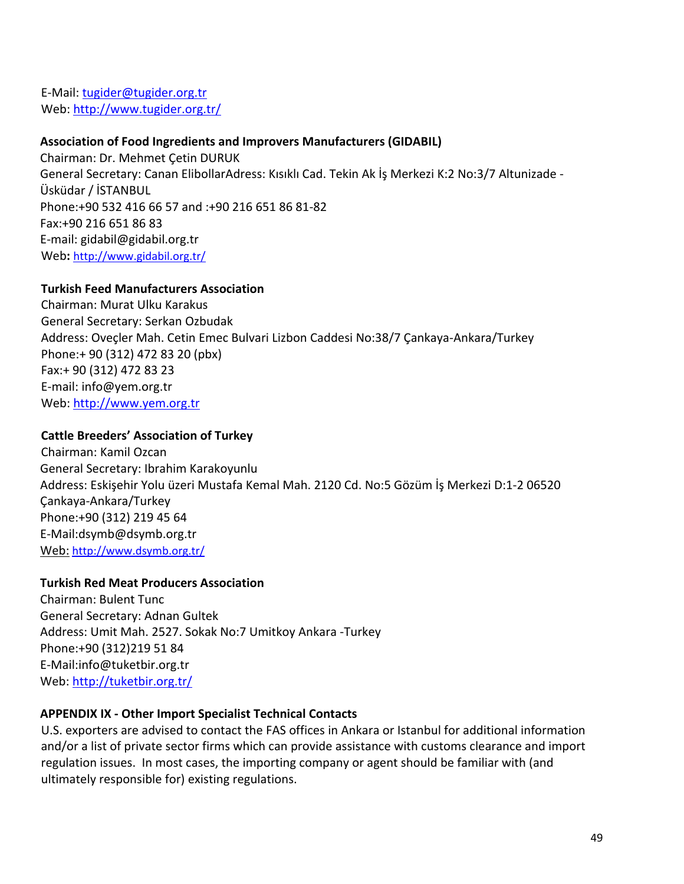E-Mail: [tugider@tugider.org.tr](mailto:tugider@tugider.org.tr) Web: <http://www.tugider.org.tr/>

### **[Association of Food Ingredients and Improvers Manufacturers](http://www.gidabil.org.tr/index.en.html) (GIDABIL)**

Chairman: Dr. Mehmet Çetin DURUK General Secretary: Canan ElibollarAdress: Kısıklı Cad. Tekin Ak İş Merkezi K:2 No:3/7 Altunizade - Üsküdar / İSTANBUL Phone:+90 532 416 66 57 and :+90 216 651 86 81-82 Fax:+90 216 651 86 83 E-mail: gidabil@gidabil.org.tr Web**:** <http://www.gidabil.org.tr/>

# **Turkish Feed Manufacturers Association**

Chairman: Murat Ulku Karakus General Secretary: Serkan Ozbudak Address: Oveçler Mah. Cetin Emec Bulvari Lizbon Caddesi No:38/7 Çankaya-Ankara/Turkey Phone:+ 90 (312) 472 83 20 (pbx) Fax:+ 90 (312) 472 83 23 E-mail: info@yem.org.tr Web: [http://www.yem.org.tr](http://www.yem.org.tr/)

# **Cattle Breeders' Association of Turkey**

Chairman: Kamil Ozcan General Secretary: Ibrahim Karakoyunlu Address: Eskişehir Yolu üzeri Mustafa Kemal Mah. 2120 Cd. No:5 Gözüm İş Merkezi D:1-2 06520 Çankaya-Ankara/Turkey Phone:+90 (312) 219 45 64 E-Mail[:dsymb@dsymb.org.tr](mailto:dsymb@dsymb.org.tr) Web: <http://www.dsymb.org.tr/>

# **Turkish Red Meat Producers Association**

Chairman: Bulent Tunc General Secretary: Adnan Gultek Address: Umit Mah. 2527. Sokak No:7 Umitkoy Ankara -Turkey Phone:+90 (312)219 51 84 E-Mail[:info@tuketbir.org.tr](mailto:info@tuketbir.org.tr) Web: <http://tuketbir.org.tr/>

# **APPENDIX IX - Other Import Specialist Technical Contacts**

U.S. exporters are advised to contact the FAS offices in Ankara or Istanbul for additional information and/or a list of private sector firms which can provide assistance with customs clearance and import regulation issues. In most cases, the importing company or agent should be familiar with (and ultimately responsible for) existing regulations.